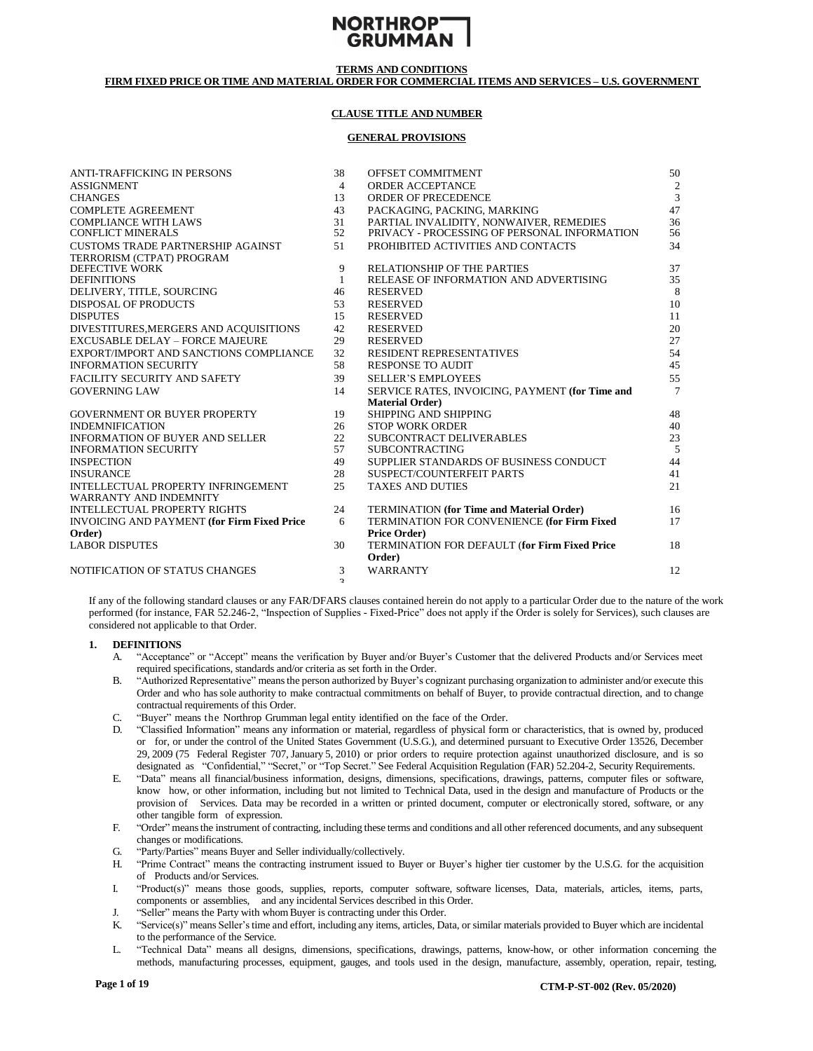

# **FIRM FIXED PRICE OR TIME AND MATERIAL ORDER FOR COMMERCIAL ITEMS AND SERVICES – U.S. GOVERNMENT**

# **CLAUSE TITLE AND NUMBER**

#### **GENERAL PROVISIONS**

| <b>ANTI-TRAFFICKING IN PERSONS</b>                 | 38             | OFFSET COMMITMENT                                | 50             |
|----------------------------------------------------|----------------|--------------------------------------------------|----------------|
| <b>ASSIGNMENT</b>                                  | 4              | <b>ORDER ACCEPTANCE</b>                          |                |
| <b>CHANGES</b>                                     | 13             | ORDER OF PRECEDENCE                              | $\frac{2}{3}$  |
| <b>COMPLETE AGREEMENT</b>                          | 43             | PACKAGING, PACKING, MARKING                      | 47             |
| <b>COMPLIANCE WITH LAWS</b>                        | 31             | PARTIAL INVALIDITY. NONWAIVER, REMEDIES          | 36             |
| <b>CONFLICT MINERALS</b>                           | 52             | PRIVACY - PROCESSING OF PERSONAL INFORMATION     | 56             |
| <b>CUSTOMS TRADE PARTNERSHIP AGAINST</b>           | 51             | PROHIBITED ACTIVITIES AND CONTACTS               | 34             |
| TERRORISM (CTPAT) PROGRAM                          |                |                                                  |                |
| DEFECTIVE WORK                                     | 9              | <b>RELATIONSHIP OF THE PARTIES</b>               | 37             |
| <b>DEFINITIONS</b>                                 | 1              | RELEASE OF INFORMATION AND ADVERTISING           | 35             |
| DELIVERY, TITLE, SOURCING                          | 46             | <b>RESERVED</b>                                  | 8              |
| <b>DISPOSAL OF PRODUCTS</b>                        | 53             | <b>RESERVED</b>                                  | 10             |
| <b>DISPUTES</b>                                    | 15             | <b>RESERVED</b>                                  | 11             |
| DIVESTITURES, MERGERS AND ACQUISITIONS             | 42             | <b>RESERVED</b>                                  | 20             |
| <b>EXCUSABLE DELAY - FORCE MAJEURE</b>             | 29             | <b>RESERVED</b>                                  | 27             |
| EXPORT/IMPORT AND SANCTIONS COMPLIANCE             | 32             | <b>RESIDENT REPRESENTATIVES</b>                  | 54             |
| <b>INFORMATION SECURITY</b>                        | 58             | <b>RESPONSE TO AUDIT</b>                         | 45             |
| <b>FACILITY SECURITY AND SAFETY</b>                | 39             | <b>SELLER'S EMPLOYEES</b>                        | 55             |
| <b>GOVERNING LAW</b>                               | 14             | SERVICE RATES, INVOICING, PAYMENT (for Time and  | $\overline{7}$ |
|                                                    |                | <b>Material Order</b> )                          |                |
| <b>GOVERNMENT OR BUYER PROPERTY</b>                | 19             | SHIPPING AND SHIPPING                            | 48             |
| <b>INDEMNIFICATION</b>                             | 26             | <b>STOP WORK ORDER</b>                           | 40             |
| <b>INFORMATION OF BUYER AND SELLER</b>             | 22             | SUBCONTRACT DELIVERABLES                         | 23             |
| <b>INFORMATION SECURITY</b>                        | 57             | <b>SUBCONTRACTING</b>                            | 5              |
| <b>INSPECTION</b>                                  | 49             | SUPPLIER STANDARDS OF BUSINESS CONDUCT           | 44             |
| <b>INSURANCE</b>                                   | 28             | SUSPECT/COUNTERFEIT PARTS                        | 41             |
| <b>INTELLECTUAL PROPERTY INFRINGEMENT</b>          | 25             | <b>TAXES AND DUTIES</b>                          | 21             |
| WARRANTY AND INDEMNITY                             |                |                                                  |                |
| <b>INTELLECTUAL PROPERTY RIGHTS</b>                | 24             | <b>TERMINATION</b> (for Time and Material Order) | 16             |
| <b>INVOICING AND PAYMENT (for Firm Fixed Price</b> | 6              | TERMINATION FOR CONVENIENCE (for Firm Fixed      | 17             |
| Order)                                             |                | <b>Price Order)</b>                              |                |
| <b>LABOR DISPUTES</b>                              | 30             | TERMINATION FOR DEFAULT (for Firm Fixed Price    | 18             |
|                                                    |                | Order)                                           |                |
| NOTIFICATION OF STATUS CHANGES                     | 3              | <b>WARRANTY</b>                                  | 12             |
|                                                    | $\overline{a}$ |                                                  |                |

If any of the following standard clauses or any FAR/DFARS clauses contained herein do not apply to a particular Order due to the nature of the work performed (for instance, FAR 52.246-2, "Inspection of Supplies - Fixed-Price" does not apply if the Order is solely for Services), such clauses are considered not applicable to that Order.

#### <span id="page-0-0"></span>**1. DEFINITIONS**

- A. "Acceptance" or "Accept" means the verification by Buyer and/or Buyer's Customer that the delivered Products and/or Services meet required specifications, standards and/or criteria as set forth in the Order.
- B. "Authorized Representative" meansthe person authorized by Buyer's cognizant purchasing organization to administer and/or execute this Order and who has sole authority to make contractual commitments on behalf of Buyer, to provide contractual direction, and to change contractual requirements of this Order.
- C. "Buyer" means the Northrop Grumman legal entity identified on the face of the Order.
- D. "Classified Information" means any information or material, regardless of physical form or characteristics, that is owned by, produced or for, or under the control of the United States Government (U.S.G.), and determined pursuant to Executive Order 13526, December 29, 2009 (75 Federal Register 707, January 5, 2010) or prior orders to require protection against unauthorized disclosure, and is so designated as "Confidential," "Secret," or "Top Secret." See Federal Acquisition Regulation (FAR) 52.204-2, Security Requirements.
- E. "Data" means all financial/business information, designs, dimensions, specifications, drawings, patterns, computer files or software, know how, or other information, including but not limited to Technical Data, used in the design and manufacture of Products or the provision of Services. Data may be recorded in a written or printed document, computer or electronically stored, software, or any other tangible form of expression.
- F. "Order" meansthe instrument of contracting, including these terms and conditions and all other referenced documents, and any subsequent changes or modifications.
- G. "Party/Parties" means Buyer and Seller individually/collectively.
- H. "Prime Contract" means the contracting instrument issued to Buyer or Buyer's higher tier customer by the U.S.G. for the acquisition of Products and/or Services.
- I. "Product(s)" means those goods, supplies, reports, computer software, software licenses, Data, materials, articles, items, parts, components or assemblies, and any incidental Services described in this Order.
- J. "Seller" means the Party with whom Buyer is contracting under this Order.
- K. "Service(s)" means Seller'stime and effort, including any items, articles, Data, or similar materials provided to Buyer which are incidental to the performance of the Service.
- L. "Technical Data" means all designs, dimensions, specifications, drawings, patterns, know-how, or other information concerning the methods, manufacturing processes, equipment, gauges, and tools used in the design, manufacture, assembly, operation, repair, testing,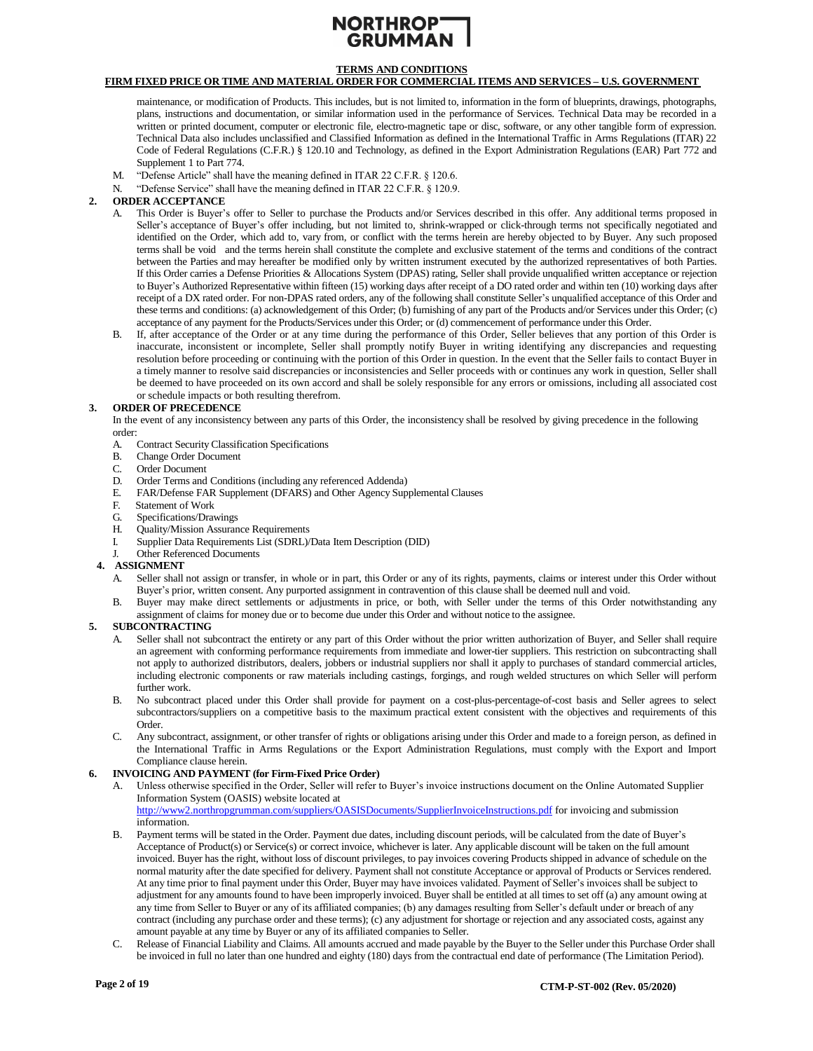# **TERMS AND CONDITIONS**

# **FIRM FIXED PRICE OR TIME AND MATERIAL ORDER FOR COMMERCIAL ITEMS AND SERVICES – U.S. GOVERNMENT**

maintenance, or modification of Products. This includes, but is not limited to, information in the form of blueprints, drawings, photographs, plans, instructions and documentation, or similar information used in the performance of Services. Technical Data may be recorded in a written or printed document, computer or electronic file, electro-magnetic tape or disc, software, or any other tangible form of expression. Technical Data also includes unclassified and Classified Information as defined in the International Traffic in Arms Regulations (ITAR) 22 Code of Federal Regulations (C.F.R.) § 120.10 and Technology, as defined in the Export Administration Regulations (EAR) Part 772 and Supplement 1 to Part 774.

- <span id="page-1-1"></span>M. "Defense Article" shall have the meaning defined in ITAR 22 C.F.R. § 120.6.
- N. "Defense Service" shall have the meaning defined in ITAR 22 C.F.R. § 120.9.

### **2. ORDER ACCEPTANCE**

- A. This Order is Buyer's offer to Seller to purchase the Products and/or Services described in this offer. Any additional terms proposed in Seller's acceptance of Buyer's offer including, but not limited to, shrink-wrapped or click-through terms not specifically negotiated and identified on the Order, which add to, vary from, or conflict with the terms herein are hereby objected to by Buyer. Any such proposed terms shall be void and the terms herein shall constitute the complete and exclusive statement of the terms and conditions of the contract between the Parties and may hereafter be modified only by written instrument executed by the authorized representatives of both Parties. If this Order carries a Defense Priorities & Allocations System (DPAS) rating, Seller shall provide unqualified written acceptance or rejection to Buyer's Authorized Representative within fifteen (15) working days after receipt of a DO rated order and within ten (10) working days after receipt of a DX rated order. For non-DPAS rated orders, any of the following shall constitute Seller's unqualified acceptance of this Order and these terms and conditions: (a) acknowledgement of this Order; (b) furnishing of any part of the Products and/or Services under this Order; (c) acceptance of any payment for the Products/Services under this Order; or (d) commencement of performance under this Order.
- B. If, after acceptance of the Order or at any time during the performance of this Order, Seller believes that any portion of this Order is inaccurate, inconsistent or incomplete, Seller shall promptly notify Buyer in writing identifying any discrepancies and requesting resolution before proceeding or continuing with the portion of this Order in question. In the event that the Seller fails to contact Buyer in a timely manner to resolve said discrepancies or inconsistencies and Seller proceeds with or continues any work in question, Seller shall be deemed to have proceeded on its own accord and shall be solely responsible for any errors or omissions, including all associated cost or schedule impacts or both resulting therefrom.

### <span id="page-1-2"></span>**3. ORDER OF PRECEDENCE**

In the event of any inconsistency between any parts of this Order, the inconsistency shall be resolved by giving precedence in the following order:

- A. Contract Security Classification Specifications
- Change Order Document
- C. Order Document
- D. Order Terms and Conditions (including any referenced Addenda)
- E. FAR/Defense FAR Supplement (DFARS) and Other Agency Supplemental Clauses
- Statement of Work
- G. Specifications/Drawings
- H. Quality/Mission Assurance Requirements
- I. Supplier Data Requirements List (SDRL)/Data Item Description (DID)
- Other Referenced Documents

### <span id="page-1-0"></span>**4. ASSIGNMENT**

- A. Seller shall not assign or transfer, in whole or in part, this Order or any of its rights, payments, claims or interest under this Order without Buyer's prior, written consent. Any purported assignment in contravention of this clause shall be deemed null and void.
- B. Buyer may make direct settlements or adjustments in price, or both, with Seller under the terms of this Order notwithstanding any assignment of claims for money due or to become due under this Order and without notice to the assignee.

### <span id="page-1-3"></span>**5. SUBCONTRACTING**

- A. Seller shall not subcontract the entirety or any part of this Order without the prior written authorization of Buyer, and Seller shall require an agreement with conforming performance requirements from immediate and lower-tier suppliers. This restriction on subcontracting shall not apply to authorized distributors, dealers, jobbers or industrial suppliers nor shall it apply to purchases of standard commercial articles, including electronic components or raw materials including castings, forgings, and rough welded structures on which Seller will perform further work.
- B. No subcontract placed under this Order shall provide for payment on a cost-plus-percentage-of-cost basis and Seller agrees to select subcontractors/suppliers on a competitive basis to the maximum practical extent consistent with the objectives and requirements of this Order.
- C. Any subcontract, assignment, or other transfer of rights or obligations arising under this Order and made to a foreign person, as defined in the International Traffic in Arms Regulations or the Export Administration Regulations, must comply with the Export and Import Compliance clause herein.

### <span id="page-1-4"></span>**6. INVOICING AND PAYMENT (for Firm-Fixed Price Order)**

- A. Unless otherwise specified in the Order, Seller will refer to Buyer's invoice instructions document on the Online Automated Supplier Information System (OASIS) website located at http://www2.northropgrumman.com/suppliers/OASISDocuments/SupplierInvoiceInstructions.pdf for invoicing and submission information.
- B. Payment terms will be stated in the Order. Payment due dates, including discount periods, will be calculated from the date of Buyer's Acceptance of Product(s) or Service(s) or correct invoice, whichever is later. Any applicable discount will be taken on the full amount invoiced. Buyer has the right, without loss of discount privileges, to pay invoices covering Products shipped in advance of schedule on the normal maturity after the date specified for delivery. Payment shall not constitute Acceptance or approval of Products or Services rendered. At any time prior to final payment under this Order, Buyer may have invoices validated. Payment of Seller's invoices shall be subject to adjustment for any amounts found to have been improperly invoiced. Buyer shall be entitled at all times to set off (a) any amount owing at any time from Seller to Buyer or any of its affiliated companies; (b) any damages resulting from Seller's default under or breach of any contract (including any purchase order and these terms); (c) any adjustment for shortage or rejection and any associated costs, against any amount payable at any time by Buyer or any of its affiliated companies to Seller.
- C. Release of Financial Liability and Claims. All amounts accrued and made payable by the Buyer to the Seller under this Purchase Order shall be invoiced in full no later than one hundred and eighty (180) days from the contractual end date of performance (The Limitation Period).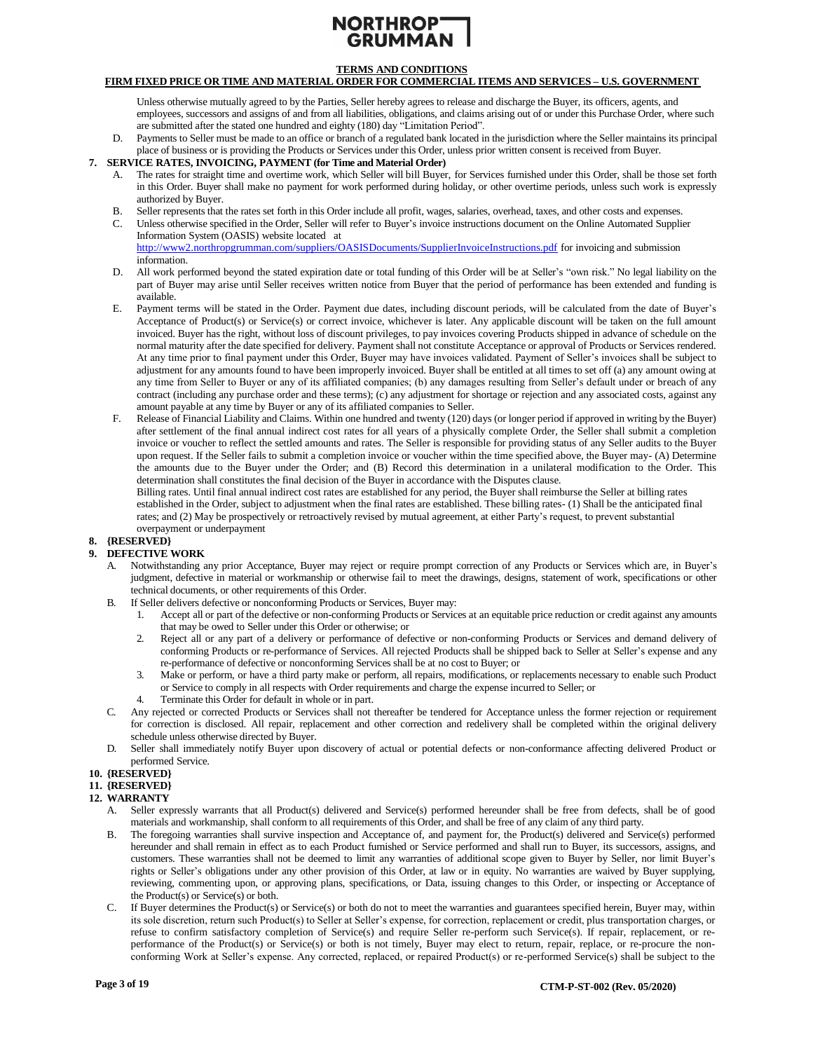# **TERMS AND CONDITIONS**

# **FIRM FIXED PRICE OR TIME AND MATERIAL ORDER FOR COMMERCIAL ITEMS AND SERVICES – U.S. GOVERNMENT**

Unless otherwise mutually agreed to by the Parties, Seller hereby agrees to release and discharge the Buyer, its officers, agents, and employees, successors and assigns of and from all liabilities, obligations, and claims arising out of or under this Purchase Order, where such are submitted after the stated one hundred and eighty (180) day "Limitation Period".

D. Payments to Seller must be made to an office or branch of a regulated bank located in the jurisdiction where the Seller maintains its principal place of business or is providing the Products or Services under this Order, unless prior written consent is received from Buyer.

# <span id="page-2-1"></span>**7. SERVICE RATES, INVOICING, PAYMENT (for Time and Material Order)**

- A. The rates for straight time and overtime work, which Seller will bill Buyer, for Services furnished under this Order, shall be those set forth in this Order. Buyer shall make no payment for work performed during holiday, or other overtime periods, unless such work is expressly authorized by Buyer.
- B. Seller represents that the rates set forth in this Order include all profit, wages, salaries, overhead, taxes, and other costs and expenses.
- C. Unless otherwise specified in the Order, Seller will refer to Buyer's invoice instructions document on the Online Automated Supplier Information System (OASIS) website located at <http://www2.northropgrumman.com/suppliers/OASISDocuments/SupplierInvoiceInstructions.pdf> for invoicing and submission

information.

- D. All work performed beyond the stated expiration date or total funding of this Order will be at Seller's "own risk." No legal liability on the part of Buyer may arise until Seller receives written notice from Buyer that the period of performance has been extended and funding is available.
- E. Payment terms will be stated in the Order. Payment due dates, including discount periods, will be calculated from the date of Buyer's Acceptance of Product(s) or Service(s) or correct invoice, whichever is later. Any applicable discount will be taken on the full amount invoiced. Buyer has the right, without loss of discount privileges, to pay invoices covering Products shipped in advance of schedule on the normal maturity after the date specified for delivery. Payment shall not constitute Acceptance or approval of Products or Services rendered. At any time prior to final payment under this Order, Buyer may have invoices validated. Payment of Seller's invoices shall be subject to adjustment for any amounts found to have been improperly invoiced. Buyer shall be entitled at all times to set off (a) any amount owing at any time from Seller to Buyer or any of its affiliated companies; (b) any damages resulting from Seller's default under or breach of any contract (including any purchase order and these terms); (c) any adjustment for shortage or rejection and any associated costs, against any amount payable at any time by Buyer or any of its affiliated companies to Seller.
- F. Release of Financial Liability and Claims. Within one hundred and twenty (120) days (or longer period if approved in writing by the Buyer) after settlement of the final annual indirect cost rates for all years of a physically complete Order, the Seller shall submit a completion invoice or voucher to reflect the settled amounts and rates. The Seller is responsible for providing status of any Seller audits to the Buyer upon request. If the Seller fails to submit a completion invoice or voucher within the time specified above, the Buyer may- (A) Determine the amounts due to the Buyer under the Order; and (B) Record this determination in a unilateral modification to the Order. This determination shall constitutes the final decision of the Buyer in accordance with the Disputes clause.

Billing rates. Until final annual indirect cost rates are established for any period, the Buyer shall reimburse the Seller at billing rates established in the Order, subject to adjustment when the final rates are established. These billing rates- (1) Shall be the anticipated final rates; and (2) May be prospectively or retroactively revised by mutual agreement, at either Party's request, to prevent substantial overpayment or underpayment

### **8. {RESERVED}**

### <span id="page-2-0"></span>**9. DEFECTIVE WORK**

- A. Notwithstanding any prior Acceptance, Buyer may reject or require prompt correction of any Products or Services which are, in Buyer's judgment, defective in material or workmanship or otherwise fail to meet the drawings, designs, statement of work, specifications or other technical documents, or other requirements of this Order.
- B. If Seller delivers defective or nonconforming Products or Services, Buyer may:
	- 1. Accept all or part of the defective or non-conforming Products or Services at an equitable price reduction or credit against any amounts that may be owed to Seller under this Order or otherwise; or
	- 2. Reject all or any part of a delivery or performance of defective or non-conforming Products or Services and demand delivery of conforming Products or re-performance of Services. All rejected Products shall be shipped back to Seller at Seller's expense and any re-performance of defective or nonconforming Services shall be at no cost to Buyer; or
	- 3. Make or perform, or have a third party make or perform, all repairs, modifications, or replacements necessary to enable such Product or Service to comply in all respects with Order requirements and charge the expense incurred to Seller; or
	- 4. Terminate this Order for default in whole or in part.
- C. Any rejected or corrected Products or Services shall not thereafter be tendered for Acceptance unless the former rejection or requirement for correction is disclosed. All repair, replacement and other correction and redelivery shall be completed within the original delivery schedule unless otherwise directed by Buyer.
- D. Seller shall immediately notify Buyer upon discovery of actual or potential defects or non-conformance affecting delivered Product or performed Service.

# **10. {RESERVED}**

# **11. {RESERVED}**

- <span id="page-2-2"></span>**12. WARRANTY**
	- A. Seller expressly warrants that all Product(s) delivered and Service(s) performed hereunder shall be free from defects, shall be of good materials and workmanship, shall conform to all requirements of this Order, and shall be free of any claim of any third party.
	- The foregoing warranties shall survive inspection and Acceptance of, and payment for, the Product(s) delivered and Service(s) performed hereunder and shall remain in effect as to each Product furnished or Service performed and shall run to Buyer, its successors, assigns, and customers. These warranties shall not be deemed to limit any warranties of additional scope given to Buyer by Seller, nor limit Buyer's rights or Seller's obligations under any other provision of this Order, at law or in equity. No warranties are waived by Buyer supplying, reviewing, commenting upon, or approving plans, specifications, or Data, issuing changes to this Order, or inspecting or Acceptance of the Product(s) or Service(s) or both.
	- C. If Buyer determines the Product(s) or Service(s) or both do not to meet the warranties and guarantees specified herein, Buyer may, within its sole discretion, return such Product(s) to Seller at Seller's expense, for correction, replacement or credit, plus transportation charges, or refuse to confirm satisfactory completion of Service(s) and require Seller re-perform such Service(s). If repair, replacement, or reperformance of the Product(s) or Service(s) or both is not timely, Buyer may elect to return, repair, replace, or re-procure the nonconforming Work at Seller's expense. Any corrected, replaced, or repaired Product(s) or re-performed Service(s) shall be subject to the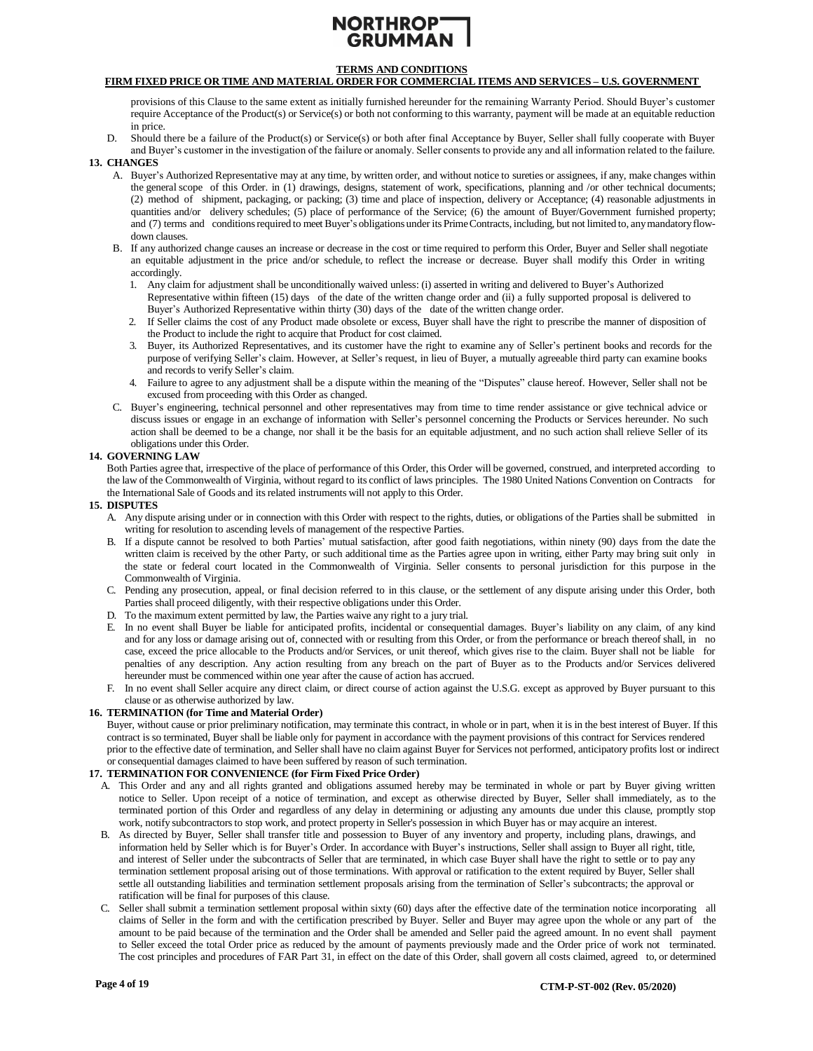# **TERMS AND CONDITIONS**

#### **FIRM FIXED PRICE OR TIME AND MATERIAL ORDER FOR COMMERCIAL ITEMS AND SERVICES – U.S. GOVERNMENT**

provisions of this Clause to the same extent as initially furnished hereunder for the remaining Warranty Period. Should Buyer's customer require Acceptance of the Product(s) or Service(s) or both not conforming to this warranty, payment will be made at an equitable reduction in price.

D. Should there be a failure of the Product(s) or Service(s) or both after final Acceptance by Buyer, Seller shall fully cooperate with Buyer

#### <span id="page-3-0"></span>and Buyer's customer in the investigation of the failure or anomaly. Seller consents to provide any and all information related to the failure. **13. CHANGES**

- A. Buyer's Authorized Representative may at any time, by written order, and without notice to sureties or assignees, if any, make changes within the general scope of this Order. in (1) drawings, designs, statement of work, specifications, planning and /or other technical documents; (2) method of shipment, packaging, or packing; (3) time and place of inspection, delivery or Acceptance; (4) reasonable adjustments in quantities and/or delivery schedules; (5) place of performance of the Service; (6) the amount of Buyer/Government furnished property; and (7) terms and conditions required to meet Buyer's obligations under its Prime Contracts, including, but not limited to, any mandatory flowdown clauses.
- B. If any authorized change causes an increase or decrease in the cost or time required to perform this Order, Buyer and Seller shall negotiate an equitable adjustment in the price and/or schedule, to reflect the increase or decrease. Buyer shall modify this Order in writing accordingly.
	- 1. Any claim for adjustment shall be unconditionally waived unless: (i) asserted in writing and delivered to Buyer's Authorized Representative within fifteen (15) days of the date of the written change order and (ii) a fully supported proposal is delivered to Buyer's Authorized Representative within thirty (30) days of the date of the written change order.
	- 2. If Seller claims the cost of any Product made obsolete or excess, Buyer shall have the right to prescribe the manner of disposition of the Product to include the right to acquire that Product for cost claimed.
	- 3. Buyer, its Authorized Representatives, and its customer have the right to examine any of Seller's pertinent books and records for the purpose of verifying Seller's claim. However, at Seller's request, in lieu of Buyer, a mutually agreeable third party can examine books and records to verify Seller's claim.
	- 4. Failure to agree to any adjustment shall be a dispute within the meaning of the "Disputes" clause hereof. However, Seller shall not be excused from proceeding with this Order as changed.
- C. Buyer's engineering, technical personnel and other representatives may from time to time render assistance or give technical advice or discuss issues or engage in an exchange of information with Seller's personnel concerning the Products or Services hereunder. No such action shall be deemed to be a change, nor shall it be the basis for an equitable adjustment, and no such action shall relieve Seller of its obligations under this Order.

#### <span id="page-3-2"></span>**14. GOVERNING LAW**

Both Parties agree that, irrespective of the place of performance of this Order, this Order will be governed, construed, and interpreted according to the law of the Commonwealth of Virginia, without regard to its conflict of laws principles. The 1980 United Nations Convention on Contracts for the International Sale of Goods and its related instruments will not apply to this Order.

#### <span id="page-3-1"></span>**15. DISPUTES**

- A. Any dispute arising under or in connection with this Order with respect to the rights, duties, or obligations of the Parties shall be submitted in writing for resolution to ascending levels of management of the respective Parties.
- B. If a dispute cannot be resolved to both Parties' mutual satisfaction, after good faith negotiations, within ninety (90) days from the date the written claim is received by the other Party, or such additional time as the Parties agree upon in writing, either Party may bring suit only in the state or federal court located in the Commonwealth of Virginia. Seller consents to personal jurisdiction for this purpose in the Commonwealth of Virginia.
- C. Pending any prosecution, appeal, or final decision referred to in this clause, or the settlement of any dispute arising under this Order, both Parties shall proceed diligently, with their respective obligations under this Order.
- D. To the maximum extent permitted by law, the Parties waive any right to a jury trial.
- E. In no event shall Buyer be liable for anticipated profits, incidental or consequential damages. Buyer's liability on any claim, of any kind and for any loss or damage arising out of, connected with or resulting from this Order, or from the performance or breach thereof shall, in no case, exceed the price allocable to the Products and/or Services, or unit thereof, which gives rise to the claim. Buyer shall not be liable for penalties of any description. Any action resulting from any breach on the part of Buyer as to the Products and/or Services delivered hereunder must be commenced within one year after the cause of action has accrued.
- F. In no event shall Seller acquire any direct claim, or direct course of action against the U.S.G. except as approved by Buyer pursuant to this clause or as otherwise authorized by law.

#### <span id="page-3-3"></span>**16. TERMINATION (for Time and Material Order)**

Buyer, without cause or prior preliminary notification, may terminate this contract, in whole or in part, when it is in the best interest of Buyer. If this contract is so terminated, Buyer shall be liable only for payment in accordance with the payment provisions of this contract for Services rendered prior to the effective date of termination, and Seller shall have no claim against Buyer for Services not performed, anticipatory profits lost or indirect or consequential damages claimed to have been suffered by reason of such termination.

# <span id="page-3-4"></span>**17. TERMINATION FOR CONVENIENCE (for Firm Fixed Price Order)**

- A. This Order and any and all rights granted and obligations assumed hereby may be terminated in whole or part by Buyer giving written notice to Seller. Upon receipt of a notice of termination, and except as otherwise directed by Buyer, Seller shall immediately, as to the terminated portion of this Order and regardless of any delay in determining or adjusting any amounts due under this clause, promptly stop work, notify subcontractors to stop work, and protect property in Seller's possession in which Buyer has or may acquire an interest.
- B. As directed by Buyer, Seller shall transfer title and possession to Buyer of any inventory and property, including plans, drawings, and information held by Seller which is for Buyer's Order. In accordance with Buyer's instructions, Seller shall assign to Buyer all right, title, and interest of Seller under the subcontracts of Seller that are terminated, in which case Buyer shall have the right to settle or to pay any termination settlement proposal arising out of those terminations. With approval or ratification to the extent required by Buyer, Seller shall settle all outstanding liabilities and termination settlement proposals arising from the termination of Seller's subcontracts; the approval or ratification will be final for purposes of this clause.
- C. Seller shall submit a termination settlement proposal within sixty (60) days after the effective date of the termination notice incorporating all claims of Seller in the form and with the certification prescribed by Buyer. Seller and Buyer may agree upon the whole or any part of the amount to be paid because of the termination and the Order shall be amended and Seller paid the agreed amount. In no event shall payment to Seller exceed the total Order price as reduced by the amount of payments previously made and the Order price of work not terminated. The cost principles and procedures of FAR Part 31, in effect on the date of this Order, shall govern all costs claimed, agreed to, or determined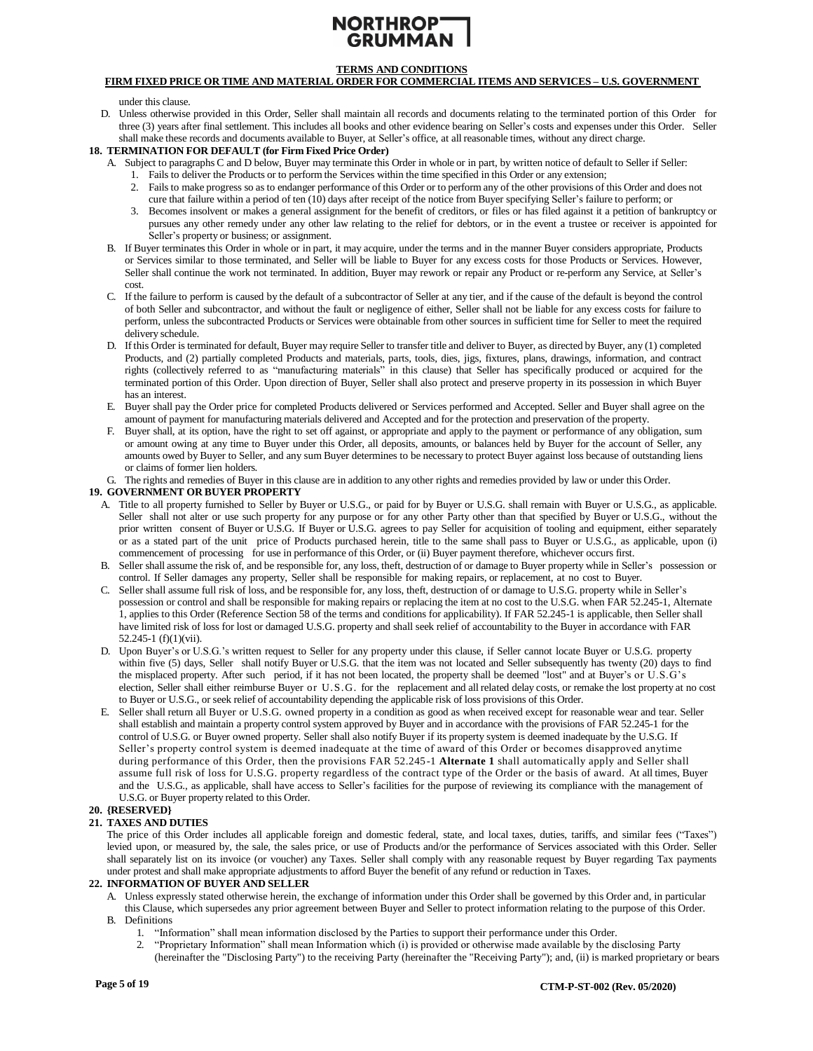# **TERMS AND CONDITIONS**

# **FIRM FIXED PRICE OR TIME AND MATERIAL ORDER FOR COMMERCIAL ITEMS AND SERVICES – U.S. GOVERNMENT**

under this clause.

D. Unless otherwise provided in this Order, Seller shall maintain all records and documents relating to the terminated portion of this Order for three (3) years after final settlement. This includes all books and other evidence bearing on Seller's costs and expenses under this Order. Seller shall make these records and documents available to Buyer, at Seller's office, at all reasonable times, without any direct charge.

#### <span id="page-4-3"></span>**18. TERMINATION FOR DEFAULT (for Firm Fixed Price Order)**

- A. Subject to paragraphs C and D below, Buyer may terminate this Order in whole or in part, by written notice of default to Seller if Seller:
	- 1. Fails to deliver the Products or to perform the Services within the time specified in this Order or any extension;
	- 2. Fails to make progress so asto endanger performance of this Order or to perform any of the other provisions of this Order and does not cure that failure within a period of ten (10) days after receipt of the notice from Buyer specifying Seller's failure to perform; or
	- 3. Becomes insolvent or makes a general assignment for the benefit of creditors, or files or has filed against it a petition of bankruptcy or pursues any other remedy under any other law relating to the relief for debtors, or in the event a trustee or receiver is appointed for Seller's property or business; or assignment.
- B. If Buyer terminates this Order in whole or in part, it may acquire, under the terms and in the manner Buyer considers appropriate, Products or Services similar to those terminated, and Seller will be liable to Buyer for any excess costs for those Products or Services. However, Seller shall continue the work not terminated. In addition, Buyer may rework or repair any Product or re-perform any Service, at Seller's cost.
- C. If the failure to perform is caused by the default of a subcontractor of Seller at any tier, and if the cause of the default is beyond the control of both Seller and subcontractor, and without the fault or negligence of either, Seller shall not be liable for any excess costs for failure to perform, unless the subcontracted Products or Services were obtainable from other sources in sufficient time for Seller to meet the required delivery schedule.
- D. If this Order isterminated for default, Buyer may require Seller to transfer title and deliver to Buyer, as directed by Buyer, any (1) completed Products, and (2) partially completed Products and materials, parts, tools, dies, jigs, fixtures, plans, drawings, information, and contract rights (collectively referred to as "manufacturing materials" in this clause) that Seller has specifically produced or acquired for the terminated portion of this Order. Upon direction of Buyer, Seller shall also protect and preserve property in its possession in which Buyer has an interest.
- E. Buyer shall pay the Order price for completed Products delivered or Services performed and Accepted. Seller and Buyer shall agree on the amount of payment for manufacturing materials delivered and Accepted and for the protection and preservation of the property.
- F. Buyer shall, at its option, have the right to set off against, or appropriate and apply to the payment or performance of any obligation, sum or amount owing at any time to Buyer under this Order, all deposits, amounts, or balances held by Buyer for the account of Seller, any amounts owed by Buyer to Seller, and any sum Buyer determines to be necessary to protect Buyer against loss because of outstanding liens or claims of former lien holders.

G. The rights and remedies of Buyer in this clause are in addition to any other rights and remedies provided by law or under this Order.

#### <span id="page-4-0"></span>**19. GOVERNMENT OR BUYER PROPERTY**

- A. Title to all property furnished to Seller by Buyer or U.S.G., or paid for by Buyer or U.S.G. shall remain with Buyer or U.S.G., as applicable. Seller shall not alter or use such property for any purpose or for any other Party other than that specified by Buyer or U.S.G., without the prior written consent of Buyer or U.S.G. If Buyer or U.S.G. agrees to pay Seller for acquisition of tooling and equipment, either separately or as a stated part of the unit price of Products purchased herein, title to the same shall pass to Buyer or U.S.G., as applicable, upon (i) commencement of processing for use in performance of this Order, or (ii) Buyer payment therefore, whichever occurs first.
- B. Seller shall assume the risk of, and be responsible for, any loss, theft, destruction of or damage to Buyer property while in Seller's possession or control. If Seller damages any property, Seller shall be responsible for making repairs, or replacement, at no cost to Buyer.
- C. Seller shall assume full risk of loss, and be responsible for, any loss, theft, destruction of or damage to U.S.G. property while in Seller's possession or control and shall be responsible for making repairs or replacing the item at no cost to the U.S.G. when FAR 52.245-1, Alternate 1, applies to this Order (Reference Section 58 of the terms and conditions for applicability). If FAR 52.245-1 is applicable, then Seller shall have limited risk of loss for lost or damaged U.S.G. property and shall seek relief of accountability to the Buyer in accordance with FAR 52.245-1 (f)(1)(vii).
- D. Upon Buyer's or U.S.G.'s written request to Seller for any property under this clause, if Seller cannot locate Buyer or U.S.G. property within five (5) days, Seller shall notify Buyer or U.S.G. that the item was not located and Seller subsequently has twenty (20) days to find the misplaced property. After such period, if it has not been located, the property shall be deemed "lost" and at Buyer's or U.S.G's election, Seller shall either reimburse Buyer or U.S.G. for the replacement and all related delay costs, or remake the lost property at no cost to Buyer or U.S.G., or seek relief of accountability depending the applicable risk of loss provisions of this Order.
- E. Seller shall return all Buyer or U.S.G. owned property in a condition as good as when received except for reasonable wear and tear. Seller shall establish and maintain a property control system approved by Buyer and in accordance with the provisions of FAR 52.245-1 for the control of U.S.G. or Buyer owned property. Seller shall also notify Buyer if its property system is deemed inadequate by the U.S.G. If Seller's property control system is deemed inadequate at the time of award of this Order or becomes disapproved anytime during performance of this Order, then the provisions FAR 52.245-1 **Alternate 1** shall automatically apply and Seller shall assume full risk of loss for U.S.G. property regardless of the contract type of the Order or the basis of award. At all times, Buyer and the U.S.G., as applicable, shall have access to Seller's facilities for the purpose of reviewing its compliance with the management of U.S.G. or Buyer property related to this Order.

# **20. {RESERVED}**

### <span id="page-4-2"></span>**21. TAXES AND DUTIES**

The price of this Order includes all applicable foreign and domestic federal, state, and local taxes, duties, tariffs, and similar fees ("Taxes") levied upon, or measured by, the sale, the sales price, or use of Products and/or the performance of Services associated with this Order. Seller shall separately list on its invoice (or voucher) any Taxes. Seller shall comply with any reasonable request by Buyer regarding Tax payments under protest and shall make appropriate adjustmentsto afford Buyer the benefit of any refund or reduction in Taxes.

#### <span id="page-4-1"></span>**22. INFORMATION OF BUYER AND SELLER**

- A. Unless expressly stated otherwise herein, the exchange of information under this Order shall be governed by this Order and, in particular this Clause, which supersedes any prior agreement between Buyer and Seller to protect information relating to the purpose of this Order.
- B. Definitions
	- 1. "Information" shall mean information disclosed by the Parties to support their performance under this Order.
	- 2. "Proprietary Information" shall mean Information which (i) is provided or otherwise made available by the disclosing Party (hereinafter the "Disclosing Party") to the receiving Party (hereinafter the "Receiving Party"); and, (ii) is marked proprietary or bears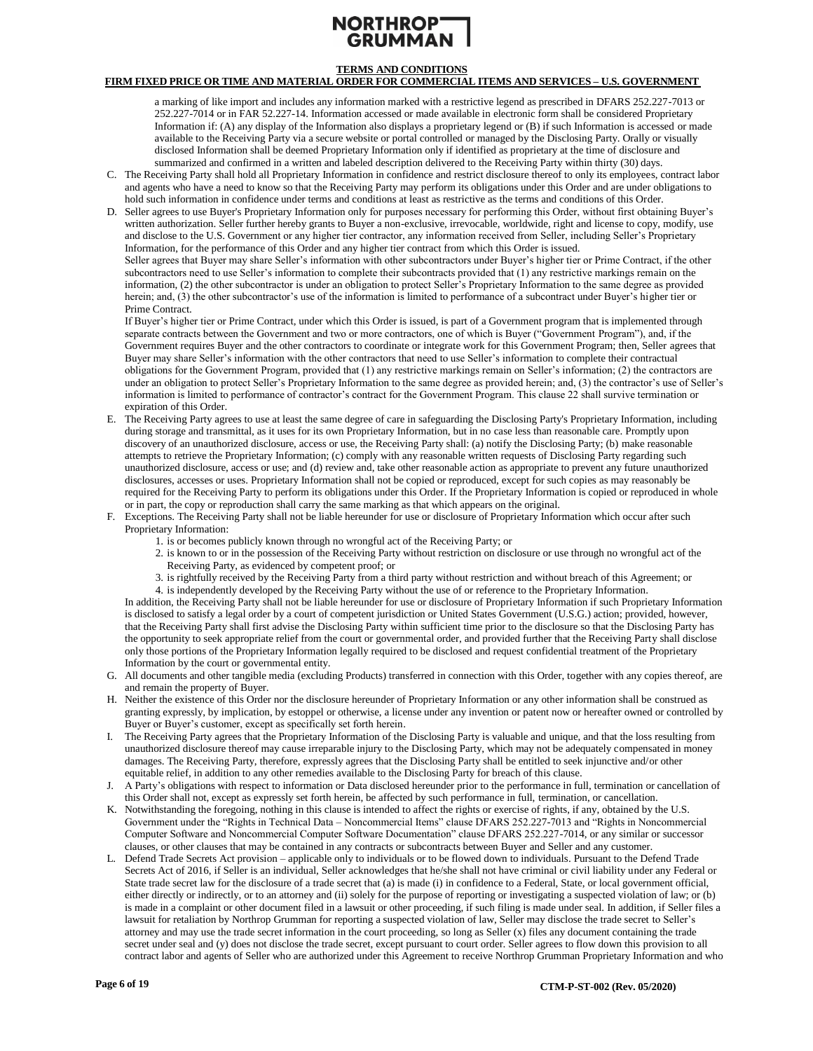# NORTHROP<sup>-</sup> **GRUMM/**

# **TERMS AND CONDITIONS**

# **FIRM FIXED PRICE OR TIME AND MATERIAL ORDER FOR COMMERCIAL ITEMS AND SERVICES – U.S. GOVERNMENT**

a marking of like import and includes any information marked with a restrictive legend as prescribed in DFARS 252.227-7013 or 252.227-7014 or in FAR 52.227-14. Information accessed or made available in electronic form shall be considered Proprietary Information if: (A) any display of the Information also displays a proprietary legend or (B) if such Information is accessed or made available to the Receiving Party via a secure website or portal controlled or managed by the Disclosing Party. Orally or visually disclosed Information shall be deemed Proprietary Information only if identified as proprietary at the time of disclosure and summarized and confirmed in a written and labeled description delivered to the Receiving Party within thirty (30) days.

- C. The Receiving Party shall hold all Proprietary Information in confidence and restrict disclosure thereof to only its employees, contract labor and agents who have a need to know so that the Receiving Party may perform its obligations under this Order and are under obligations to hold such information in confidence under terms and conditions at least as restrictive as the terms and conditions of this Order.
- D. Seller agrees to use Buyer's Proprietary Information only for purposes necessary for performing this Order, without first obtaining Buyer's written authorization. Seller further hereby grants to Buyer a non-exclusive, irrevocable, worldwide, right and license to copy, modify, use and disclose to the U.S. Government or any higher tier contractor, any information received from Seller, including Seller's Proprietary Information, for the performance of this Order and any higher tier contract from which this Order is issued.

Seller agrees that Buyer may share Seller's information with other subcontractors under Buyer's higher tier or Prime Contract, if the other subcontractors need to use Seller's information to complete their subcontracts provided that (1) any restrictive markings remain on the information, (2) the other subcontractor is under an obligation to protect Seller's Proprietary Information to the same degree as provided herein; and, (3) the other subcontractor's use of the information is limited to performance of a subcontract under Buyer's higher tier or Prime Contract.

If Buyer's higher tier or Prime Contract, under which this Order is issued, is part of a Government program that is implemented through separate contracts between the Government and two or more contractors, one of which is Buyer ("Government Program"), and, if the Government requires Buyer and the other contractors to coordinate or integrate work for this Government Program; then, Seller agrees that Buyer may share Seller's information with the other contractors that need to use Seller's information to complete their contractual obligations for the Government Program, provided that (1) any restrictive markings remain on Seller's information; (2) the contractors are under an obligation to protect Seller's Proprietary Information to the same degree as provided herein; and, (3) the contractor's use of Seller's information is limited to performance of contractor's contract for the Government Program. This clause 22 shall survive termination or expiration of this Order.

- E. The Receiving Party agrees to use at least the same degree of care in safeguarding the Disclosing Party's Proprietary Information, including during storage and transmittal, as it uses for its own Proprietary Information, but in no case less than reasonable care. Promptly upon discovery of an unauthorized disclosure, access or use, the Receiving Party shall: (a) notify the Disclosing Party; (b) make reasonable attempts to retrieve the Proprietary Information; (c) comply with any reasonable written requests of Disclosing Party regarding such unauthorized disclosure, access or use; and (d) review and, take other reasonable action as appropriate to prevent any future unauthorized disclosures, accesses or uses. Proprietary Information shall not be copied or reproduced, except for such copies as may reasonably be required for the Receiving Party to perform its obligations under this Order. If the Proprietary Information is copied or reproduced in whole or in part, the copy or reproduction shall carry the same marking as that which appears on the original.
- F. Exceptions. The Receiving Party shall not be liable hereunder for use or disclosure of Proprietary Information which occur after such Proprietary Information:
	- 1. is or becomes publicly known through no wrongful act of the Receiving Party; or
	- 2. is known to or in the possession of the Receiving Party without restriction on disclosure or use through no wrongful act of the Receiving Party, as evidenced by competent proof; or
	- 3. is rightfully received by the Receiving Party from a third party without restriction and without breach of this Agreement; or
	- 4. is independently developed by the Receiving Party without the use of or reference to the Proprietary Information.

In addition, the Receiving Party shall not be liable hereunder for use or disclosure of Proprietary Information if such Proprietary Information is disclosed to satisfy a legal order by a court of competent jurisdiction or United States Government (U.S.G.) action; provided, however, that the Receiving Party shall first advise the Disclosing Party within sufficient time prior to the disclosure so that the Disclosing Party has the opportunity to seek appropriate relief from the court or governmental order, and provided further that the Receiving Party shall disclose only those portions of the Proprietary Information legally required to be disclosed and request confidential treatment of the Proprietary Information by the court or governmental entity.

- G. All documents and other tangible media (excluding Products) transferred in connection with this Order, together with any copies thereof, are and remain the property of Buyer.
- H. Neither the existence of this Order nor the disclosure hereunder of Proprietary Information or any other information shall be construed as granting expressly, by implication, by estoppel or otherwise, a license under any invention or patent now or hereafter owned or controlled by Buyer or Buyer's customer, except as specifically set forth herein.
- I. The Receiving Party agrees that the Proprietary Information of the Disclosing Party is valuable and unique, and that the loss resulting from unauthorized disclosure thereof may cause irreparable injury to the Disclosing Party, which may not be adequately compensated in money damages. The Receiving Party, therefore, expressly agrees that the Disclosing Party shall be entitled to seek injunctive and/or other equitable relief, in addition to any other remedies available to the Disclosing Party for breach of this clause.
- J. A Party's obligations with respect to information or Data disclosed hereunder prior to the performance in full, termination or cancellation of this Order shall not, except as expressly set forth herein, be affected by such performance in full, termination, or cancellation.
- K. Notwithstanding the foregoing, nothing in this clause is intended to affect the rights or exercise of rights, if any, obtained by the U.S. Government under the "Rights in Technical Data – Noncommercial Items" clause DFARS 252.227-7013 and "Rights in Noncommercial Computer Software and Noncommercial Computer Software Documentation" clause DFARS 252.227-7014, or any similar or successor clauses, or other clauses that may be contained in any contracts or subcontracts between Buyer and Seller and any customer.
- L. Defend Trade Secrets Act provision applicable only to individuals or to be flowed down to individuals. Pursuant to the Defend Trade Secrets Act of 2016, if Seller is an individual, Seller acknowledges that he/she shall not have criminal or civil liability under any Federal or State trade secret law for the disclosure of a trade secret that (a) is made (i) in confidence to a Federal, State, or local government official, either directly or indirectly, or to an attorney and (ii) solely for the purpose of reporting or investigating a suspected violation of law; or (b) is made in a complaint or other document filed in a lawsuit or other proceeding, if such filing is made under seal. In addition, if Seller files a lawsuit for retaliation by Northrop Grumman for reporting a suspected violation of law, Seller may disclose the trade secret to Seller's attorney and may use the trade secret information in the court proceeding, so long as Seller (x) files any document containing the trade secret under seal and (y) does not disclose the trade secret, except pursuant to court order. Seller agrees to flow down this provision to all contract labor and agents of Seller who are authorized under this Agreement to receive Northrop Grumman Proprietary Information and who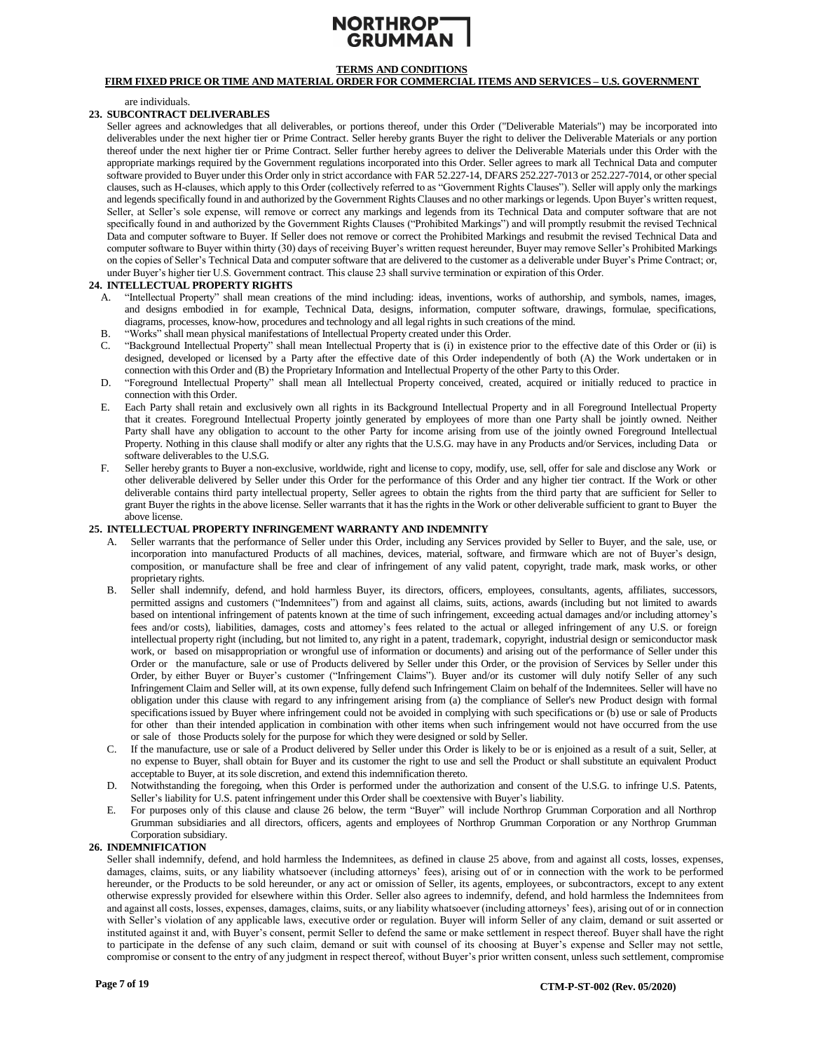# NORTHROP-

# **TERMS AND CONDITIONS**

# **FIRM FIXED PRICE OR TIME AND MATERIAL ORDER FOR COMMERCIAL ITEMS AND SERVICES – U.S. GOVERNMENT**

are individuals.

#### <span id="page-6-1"></span>**23. SUBCONTRACT DELIVERABLES**

Seller agrees and acknowledges that all deliverables, or portions thereof, under this Order ("Deliverable Materials") may be incorporated into deliverables under the next higher tier or Prime Contract. Seller hereby grants Buyer the right to deliver the Deliverable Materials or any portion thereof under the next higher tier or Prime Contract. Seller further hereby agrees to deliver the Deliverable Materials under this Order with the appropriate markings required by the Government regulations incorporated into this Order. Seller agrees to mark all Technical Data and computer software provided to Buyer under this Order only in strict accordance with FAR 52.227-14, DFARS 252.227-7013 or 252.227-7014, or other special clauses, such as H-clauses, which apply to this Order (collectively referred to as "Government Rights Clauses"). Seller will apply only the markings and legends specifically found in and authorized by the Government Rights Clauses and no other markings or legends. Upon Buyer's written request, Seller, at Seller's sole expense, will remove or correct any markings and legends from its Technical Data and computer software that are not specifically found in and authorized by the Government Rights Clauses ("Prohibited Markings") and will promptly resubmit the revised Technical Data and computer software to Buyer. If Seller does not remove or correct the Prohibited Markings and resubmit the revised Technical Data and computer software to Buyer within thirty (30) days of receiving Buyer's written request hereunder, Buyer may remove Seller's Prohibited Markings on the copies of Seller's Technical Data and computer software that are delivered to the customer as a deliverable under Buyer's Prime Contract; or, under Buyer's higher tier U.S. Government contract. This clause 23 shall survive termination or expiration of this Order.

### <span id="page-6-3"></span>**24. INTELLECTUAL PROPERTY RIGHTS**

- A. "Intellectual Property" shall mean creations of the mind including: ideas, inventions, works of authorship, and symbols, names, images, and designs embodied in for example, Technical Data, designs, information, computer software, drawings, formulae, specifications, diagrams, processes, know-how, procedures and technology and all legal rights in such creations of the mind.
- B. "Works" shall mean physical manifestations of Intellectual Property created under this Order.
- C. "Background Intellectual Property" shall mean Intellectual Property that is (i) in existence prior to the effective date of this Order or (ii) is designed, developed or licensed by a Party after the effective date of this Order independently of both (A) the Work undertaken or in connection with this Order and (B) the Proprietary Information and Intellectual Property of the other Party to this Order.
- D. "Foreground Intellectual Property" shall mean all Intellectual Property conceived, created, acquired or initially reduced to practice in connection with this Order.
- E. Each Party shall retain and exclusively own all rights in its Background Intellectual Property and in all Foreground Intellectual Property that it creates. Foreground Intellectual Property jointly generated by employees of more than one Party shall be jointly owned. Neither Party shall have any obligation to account to the other Party for income arising from use of the jointly owned Foreground Intellectual Property. Nothing in this clause shall modify or alter any rights that the U.S.G. may have in any Products and/or Services, including Data or software deliverables to the U.S.G.
- F. Seller hereby grants to Buyer a non-exclusive, worldwide, right and license to copy, modify, use, sell, offer for sale and disclose any Work or other deliverable delivered by Seller under this Order for the performance of this Order and any higher tier contract. If the Work or other deliverable contains third party intellectual property, Seller agrees to obtain the rights from the third party that are sufficient for Seller to grant Buyer the rights in the above license. Seller warrants that it hasthe rights in the Work or other deliverable sufficient to grant to Buyer the above license.

### <span id="page-6-2"></span>**25. INTELLECTUAL PROPERTY INFRINGEMENT WARRANTY AND INDEMNITY**

- Seller warrants that the performance of Seller under this Order, including any Services provided by Seller to Buyer, and the sale, use, or incorporation into manufactured Products of all machines, devices, material, software, and firmware which are not of Buyer's design, composition, or manufacture shall be free and clear of infringement of any valid patent, copyright, trade mark, mask works, or other proprietary rights.
- B. Seller shall indemnify, defend, and hold harmless Buyer, its directors, officers, employees, consultants, agents, affiliates, successors, permitted assigns and customers ("Indemnitees") from and against all claims, suits, actions, awards (including but not limited to awards based on intentional infringement of patents known at the time of such infringement, exceeding actual damages and/or including attorney's fees and/or costs), liabilities, damages, costs and attorney's fees related to the actual or alleged infringement of any U.S. or foreign intellectual property right (including, but not limited to, any right in a patent, trademark, copyright, industrial design or semiconductor mask work, or based on misappropriation or wrongful use of information or documents) and arising out of the performance of Seller under this Order or the manufacture, sale or use of Products delivered by Seller under this Order, or the provision of Services by Seller under this Order, by either Buyer or Buyer's customer ("Infringement Claims"). Buyer and/or its customer will duly notify Seller of any such Infringement Claim and Seller will, at its own expense, fully defend such Infringement Claim on behalf of the Indemnitees. Seller will have no obligation under this clause with regard to any infringement arising from (a) the compliance of Seller's new Product design with formal specifications issued by Buyer where infringement could not be avoided in complying with such specifications or (b) use or sale of Products for other than their intended application in combination with other items when such infringement would not have occurred from the use or sale of those Products solely for the purpose for which they were designed or sold by Seller.
- C. If the manufacture, use or sale of a Product delivered by Seller under this Order is likely to be or is enjoined as a result of a suit, Seller, at no expense to Buyer, shall obtain for Buyer and its customer the right to use and sell the Product or shall substitute an equivalent Product acceptable to Buyer, at its sole discretion, and extend this indemnification thereto.
- D. Notwithstanding the foregoing, when this Order is performed under the authorization and consent of the U.S.G. to infringe U.S. Patents, Seller's liability for U.S. patent infringement under this Order shall be coextensive with Buyer's liability.
- E. For purposes only of this clause and clause 26 below, the term "Buyer" will include Northrop Grumman Corporation and all Northrop Grumman subsidiaries and all directors, officers, agents and employees of Northrop Grumman Corporation or any Northrop Grumman Corporation subsidiary.

## <span id="page-6-0"></span>**26. INDEMNIFICATION**

Seller shall indemnify, defend, and hold harmless the Indemnitees, as defined in clause 25 above, from and against all costs, losses, expenses, damages, claims, suits, or any liability whatsoever (including attorneys' fees), arising out of or in connection with the work to be performed hereunder, or the Products to be sold hereunder, or any act or omission of Seller, its agents, employees, or subcontractors, except to any extent otherwise expressly provided for elsewhere within this Order. Seller also agrees to indemnify, defend, and hold harmless the Indemnitees from and against all costs, losses, expenses, damages, claims, suits, or any liability whatsoever (including attorneys' fees), arising out of or in connection with Seller's violation of any applicable laws, executive order or regulation. Buyer will inform Seller of any claim, demand or suit asserted or instituted against it and, with Buyer's consent, permit Seller to defend the same or make settlement in respect thereof. Buyer shall have the right to participate in the defense of any such claim, demand or suit with counsel of its choosing at Buyer's expense and Seller may not settle, compromise or consent to the entry of any judgment in respect thereof, without Buyer's prior written consent, unless such settlement, compromise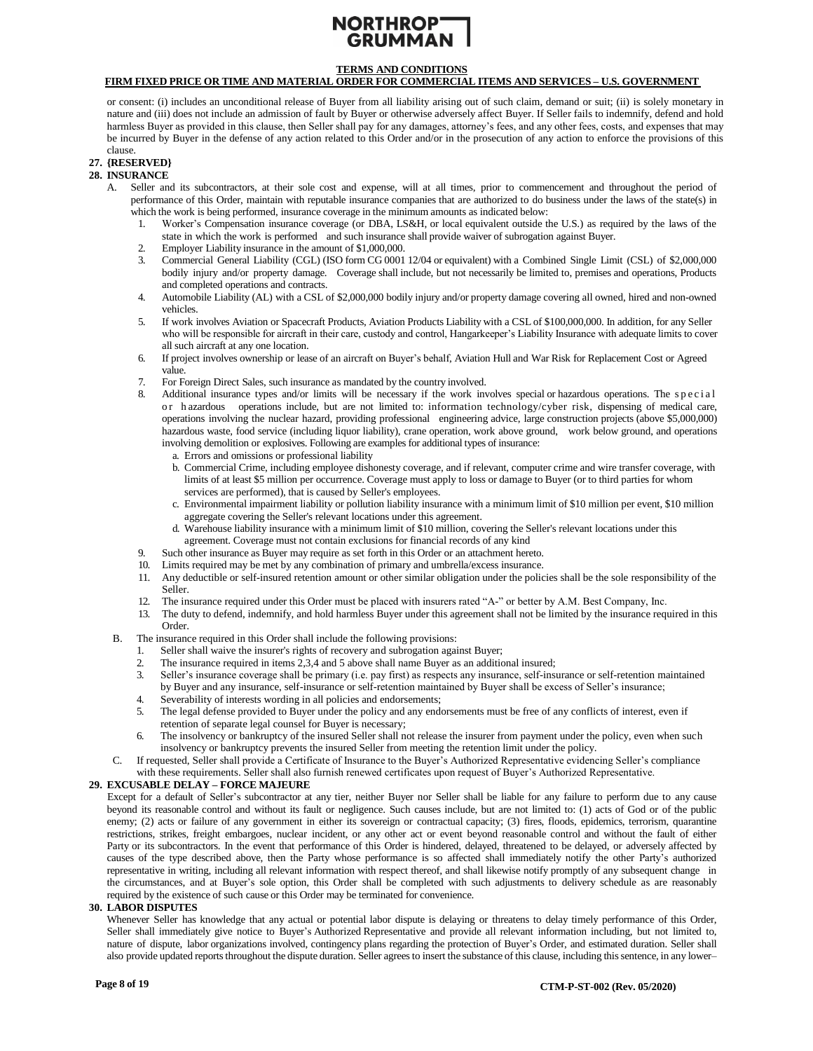# NORTHROP-

# **TERMS AND CONDITIONS**

# **FIRM FIXED PRICE OR TIME AND MATERIAL ORDER FOR COMMERCIAL ITEMS AND SERVICES – U.S. GOVERNMENT**

or consent: (i) includes an unconditional release of Buyer from all liability arising out of such claim, demand or suit; (ii) is solely monetary in nature and (iii) does not include an admission of fault by Buyer or otherwise adversely affect Buyer. If Seller fails to indemnify, defend and hold harmless Buyer as provided in this clause, then Seller shall pay for any damages, attorney's fees, and any other fees, costs, and expenses that may be incurred by Buyer in the defense of any action related to this Order and/or in the prosecution of any action to enforce the provisions of this clause.

# **27. {RESERVED}**

#### <span id="page-7-1"></span>**28. INSURANCE**

- A. Seller and its subcontractors, at their sole cost and expense, will at all times, prior to commencement and throughout the period of performance of this Order, maintain with reputable insurance companies that are authorized to do business under the laws of the state(s) in which the work is being performed, insurance coverage in the minimum amounts as indicated below:
	- 1. Worker's Compensation insurance coverage (or DBA, LS&H, or local equivalent outside the U.S.) as required by the laws of the state in which the work is performed and such insurance shall provide waiver of subrogation against Buyer.
	- 2. Employer Liability insurance in the amount of \$1,000,000.<br>Commercial General Liability (CGL) (ISO form CG 0001
	- 3. Commercial General Liability (CGL) (ISO form CG 0001 12/04 or equivalent) with a Combined Single Limit (CSL) of \$2,000,000 bodily injury and/or property damage. Coverage shall include, but not necessarily be limited to, premises and operations, Products and completed operations and contracts.
	- 4. Automobile Liability (AL) with a CSL of \$2,000,000 bodily injury and/or property damage covering all owned, hired and non-owned vehicles.
	- 5. If work involves Aviation or Spacecraft Products, Aviation Products Liability with a CSL of \$100,000,000. In addition, for any Seller who will be responsible for aircraft in their care, custody and control, Hangarkeeper's Liability Insurance with adequate limits to cover all such aircraft at any one location.
	- 6. If project involves ownership or lease of an aircraft on Buyer's behalf, Aviation Hull and War Risk for Replacement Cost or Agreed value.
	- 7. For Foreign Direct Sales, such insurance as mandated by the country involved.
	- 8. Additional insurance types and/or limits will be necessary if the work involves special or hazardous operations. The special or h azardous operations include, but are not limited to: information technology/cyber risk, dispensing of medical care, operations involving the nuclear hazard, providing professional engineering advice, large construction projects (above \$5,000,000) hazardous waste, food service (including liquor liability), crane operation, work above ground, work below ground, and operations involving demolition or explosives. Following are examples for additional types of insurance:
		- a. Errors and omissions or professional liability
		- b. Commercial Crime, including employee dishonesty coverage, and if relevant, computer crime and wire transfer coverage, with limits of at least \$5 million per occurrence. Coverage must apply to loss or damage to Buyer (or to third parties for whom services are performed), that is caused by Seller's employees.
		- c. Environmental impairment liability or pollution liability insurance with a minimum limit of \$10 million per event, \$10 million aggregate covering the Seller's relevant locations under this agreement.
		- d. Warehouse liability insurance with a minimum limit of \$10 million, covering the Seller's relevant locations under this agreement. Coverage must not contain exclusions for financial records of any kind
	- 9. Such other insurance as Buyer may require as set forth in this Order or an attachment hereto.
	- 10. Limits required may be met by any combination of primary and umbrella/excess insurance.
	- 11. Any deductible or self-insured retention amount or other similar obligation under the policies shall be the sole responsibility of the Seller.
	- 12. The insurance required under this Order must be placed with insurers rated "A-" or better by A.M. Best Company, Inc.
	- 13. The duty to defend, indemnify, and hold harmless Buyer under this agreement shall not be limited by the insurance required in this Order.
	- B. The insurance required in this Order shall include the following provisions:
		- 1. Seller shall waive the insurer's rights of recovery and subrogation against Buyer;
		- 2. The insurance required in items 2,3,4 and 5 above shall name Buyer as an additional insured;
		- 3. Seller's insurance coverage shall be primary (i.e. pay first) as respects any insurance, self-insurance or self-retention maintained by Buyer and any insurance, self-insurance or self-retention maintained by Buyer shall be excess of Seller's insurance;
		- 4. Severability of interests wording in all policies and endorsements;
		- 5. The legal defense provided to Buyer under the policy and any endorsements must be free of any conflicts of interest, even if retention of separate legal counsel for Buyer is necessary;
		- 6. The insolvency or bankruptcy of the insured Seller shall not release the insurer from payment under the policy, even when such insolvency or bankruptcy prevents the insured Seller from meeting the retention limit under the policy.
- C. If requested, Seller shall provide a Certificate of Insurance to the Buyer's Authorized Representative evidencing Seller's compliance

### with these requirements. Seller shall also furnish renewed certificates upon request of Buyer's Authorized Representative.

### <span id="page-7-0"></span>**29. EXCUSABLE DELAY – FORCE MAJEURE**

Except for a default of Seller's subcontractor at any tier, neither Buyer nor Seller shall be liable for any failure to perform due to any cause beyond its reasonable control and without its fault or negligence. Such causes include, but are not limited to: (1) acts of God or of the public enemy; (2) acts or failure of any government in either its sovereign or contractual capacity; (3) fires, floods, epidemics, terrorism, quarantine restrictions, strikes, freight embargoes, nuclear incident, or any other act or event beyond reasonable control and without the fault of either Party or its subcontractors. In the event that performance of this Order is hindered, delayed, threatened to be delayed, or adversely affected by causes of the type described above, then the Party whose performance is so affected shall immediately notify the other Party's authorized representative in writing, including all relevant information with respect thereof, and shall likewise notify promptly of any subsequent change in the circumstances, and at Buyer's sole option, this Order shall be completed with such adjustments to delivery schedule as are reasonably required by the existence of such cause or this Order may be terminated for convenience.

### <span id="page-7-2"></span>**30. LABOR DISPUTES**

Whenever Seller has knowledge that any actual or potential labor dispute is delaying or threatens to delay timely performance of this Order, Seller shall immediately give notice to Buyer's Authorized Representative and provide all relevant information including, but not limited to, nature of dispute, labor organizations involved, contingency plans regarding the protection of Buyer's Order, and estimated duration. Seller shall also provide updated reports throughout the dispute duration. Seller agrees to insert the substance of this clause, including this sentence, in any lower–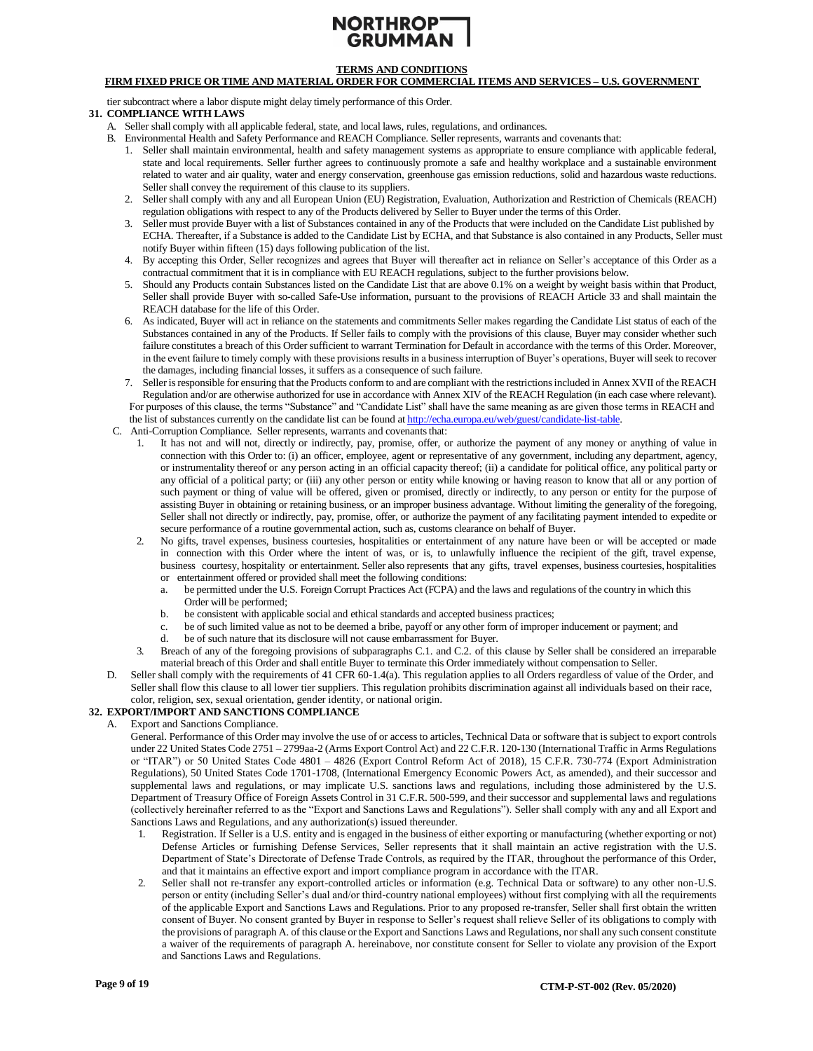# NORTHROP<sup>-</sup> **GRUMM/**

# **TERMS AND CONDITIONS**

## **FIRM FIXED PRICE OR TIME AND MATERIAL ORDER FOR COMMERCIAL ITEMS AND SERVICES – U.S. GOVERNMENT**

tier subcontract where a labor dispute might delay timely performance of this Order.

### <span id="page-8-0"></span>**31. COMPLIANCE WITH LAWS**

- A. Seller shall comply with all applicable federal, state, and local laws, rules, regulations, and ordinances.
- B. Environmental Health and Safety Performance and REACH Compliance. Seller represents, warrants and covenants that:
	- 1. Seller shall maintain environmental, health and safety management systems as appropriate to ensure compliance with applicable federal, state and local requirements. Seller further agrees to continuously promote a safe and healthy workplace and a sustainable environment related to water and air quality, water and energy conservation, greenhouse gas emission reductions, solid and hazardous waste reductions. Seller shall convey the requirement of this clause to its suppliers.
	- 2. Seller shall comply with any and all European Union (EU) Registration, Evaluation, Authorization and Restriction of Chemicals (REACH) regulation obligations with respect to any of the Products delivered by Seller to Buyer under the terms of this Order.
	- 3. Seller must provide Buyer with a list of Substances contained in any of the Products that were included on the Candidate List published by ECHA. Thereafter, if a Substance is added to the Candidate List by ECHA, and that Substance is also contained in any Products, Seller must notify Buyer within fifteen (15) days following publication of the list.
	- 4. By accepting this Order, Seller recognizes and agrees that Buyer will thereafter act in reliance on Seller's acceptance of this Order as a contractual commitment that it is in compliance with EU REACH regulations, subject to the further provisions below.
	- 5. Should any Products contain Substances listed on the Candidate List that are above 0.1% on a weight by weight basis within that Product, Seller shall provide Buyer with so-called Safe-Use information, pursuant to the provisions of REACH Article 33 and shall maintain the REACH database for the life of this Order.
	- 6. As indicated, Buyer will act in reliance on the statements and commitments Seller makes regarding the Candidate List status of each of the Substances contained in any of the Products. If Seller fails to comply with the provisions of this clause, Buyer may consider whether such failure constitutes a breach of this Order sufficient to warrant Termination for Default in accordance with the terms of this Order. Moreover, in the event failure to timely comply with these provisions results in a business interruption of Buyer's operations, Buyer will seek to recover the damages, including financial losses, it suffers as a consequence of such failure.
	- 7. Seller is responsible for ensuring that the Products conform to and are compliant with the restrictions included in Annex XVII of the REACH Regulation and/or are otherwise authorized for use in accordance with Annex XIV of the REACH Regulation (in each case where relevant). For purposes of this clause, the terms "Substance" and "Candidate List" shall have the same meaning as are given those terms in REACH and

the list of substances currently on the candidate list can be found a[t http://echa.europa.eu/web/guest/candidate-list-table.](http://echa.europa.eu/web/guest/candidate-list-table)

- C. Anti-Corruption Compliance. Seller represents, warrants and covenants that:
	- 1. It has not and will not, directly or indirectly, pay, promise, offer, or authorize the payment of any money or anything of value in connection with this Order to: (i) an officer, employee, agent or representative of any government, including any department, agency, or instrumentality thereof or any person acting in an official capacity thereof; (ii) a candidate for political office, any political party or any official of a political party; or (iii) any other person or entity while knowing or having reason to know that all or any portion of such payment or thing of value will be offered, given or promised, directly or indirectly, to any person or entity for the purpose of assisting Buyer in obtaining or retaining business, or an improper business advantage. Without limiting the generality of the foregoing, Seller shall not directly or indirectly, pay, promise, offer, or authorize the payment of any facilitating payment intended to expedite or secure performance of a routine governmental action, such as, customs clearance on behalf of Buyer.
	- 2. No gifts, travel expenses, business courtesies, hospitalities or entertainment of any nature have been or will be accepted or made in connection with this Order where the intent of was, or is, to unlawfully influence the recipient of the gift, travel expense, business courtesy, hospitality or entertainment. Seller also represents that any gifts, travel expenses, business courtesies, hospitalities or entertainment offered or provided shall meet the following conditions:
		- a. be permitted under the U.S. Foreign Corrupt Practices Act (FCPA) and the laws and regulations of the country in which this Order will be performed;
		- b. be consistent with applicable social and ethical standards and accepted business practices;
		- c. be of such limited value as not to be deemed a bribe, payoff or any other form of improper inducement or payment; and
		- d. be of such nature that its disclosure will not cause embarrassment for Buyer.
	- 3. Breach of any of the foregoing provisions of subparagraphs C.1. and C.2. of this clause by Seller shall be considered an irreparable material breach of this Order and shall entitle Buyer to terminate this Order immediately without compensation to Seller.
- D. Seller shall comply with the requirements of 41 CFR 60-1.4(a). This regulation applies to all Orders regardless of value of the Order, and Seller shall flow this clause to all lower tier suppliers. This regulation prohibits discrimination against all individuals based on their race, color, religion, sex, sexual orientation, gender identity, or national origin.

### <span id="page-8-1"></span>**32. EXPORT/IMPORT AND SANCTIONS COMPLIANCE**

- A. Export and Sanctions Compliance.
	- General. Performance of this Order may involve the use of or access to articles, Technical Data or software that is subject to export controls under 22 United States Code 2751 – 2799aa-2 (Arms Export Control Act) and 22 C.F.R. 120-130 (International Traffic in Arms Regulations or "ITAR") or 50 United States Code 4801 – 4826 (Export Control Reform Act of 2018), 15 C.F.R. 730-774 (Export Administration Regulations), 50 United States Code 1701-1708, (International Emergency Economic Powers Act, as amended), and their successor and supplemental laws and regulations, or may implicate U.S. sanctions laws and regulations, including those administered by the U.S. Department of Treasury Office of Foreign Assets Control in 31 C.F.R. 500-599, and their successor and supplemental laws and regulations (collectively hereinafter referred to as the "Export and Sanctions Laws and Regulations"). Seller shall comply with any and all Export and Sanctions Laws and Regulations, and any authorization(s) issued thereunder.
		- 1. Registration. If Seller is a U.S. entity and is engaged in the business of either exporting or manufacturing (whether exporting or not) Defense Articles or furnishing Defense Services, Seller represents that it shall maintain an active registration with the U.S. Department of State's Directorate of Defense Trade Controls, as required by the ITAR, throughout the performance of this Order, and that it maintains an effective export and import compliance program in accordance with the ITAR.
		- 2. Seller shall not re-transfer any export-controlled articles or information (e.g. Technical Data or software) to any other non-U.S. person or entity (including Seller's dual and/or third-country national employees) without first complying with all the requirements of the applicable Export and Sanctions Laws and Regulations. Prior to any proposed re-transfer, Seller shall first obtain the written consent of Buyer. No consent granted by Buyer in response to Seller's request shall relieve Seller of its obligations to comply with the provisions of paragraph A. of this clause or the Export and Sanctions Laws and Regulations, nor shall any such consent constitute a waiver of the requirements of paragraph A. hereinabove, nor constitute consent for Seller to violate any provision of the Export and Sanctions Laws and Regulations.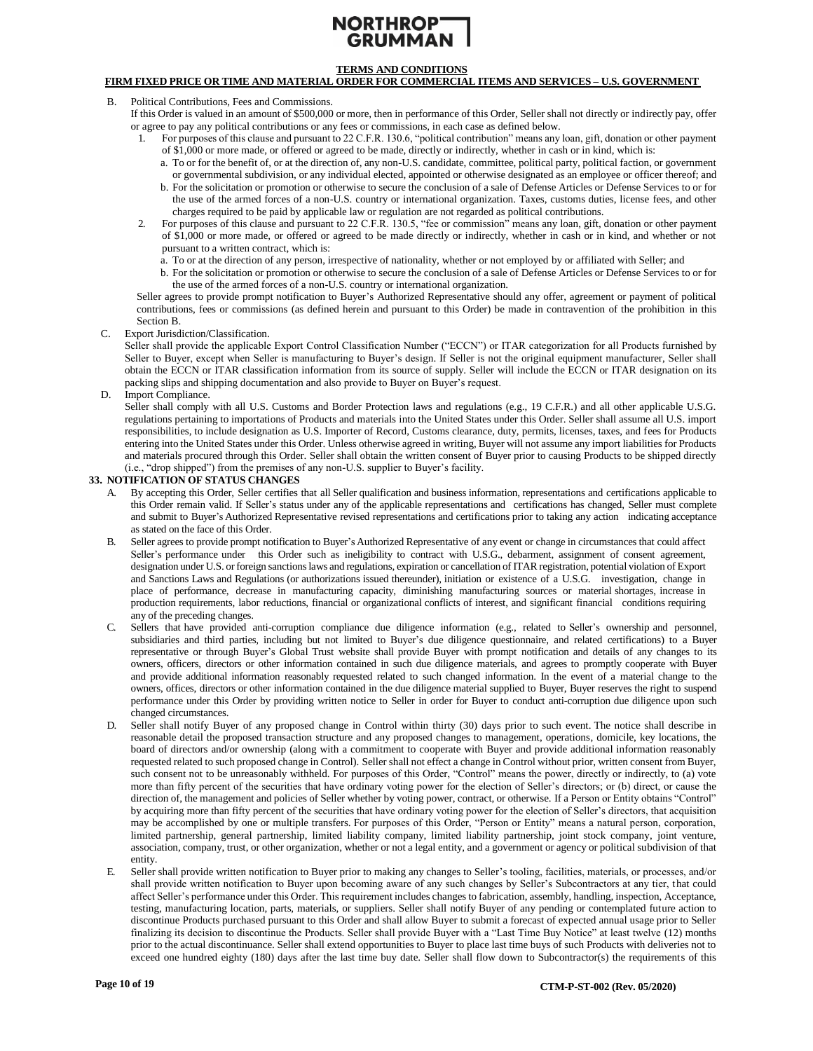# **TERMS AND CONDITIONS**

# **FIRM FIXED PRICE OR TIME AND MATERIAL ORDER FOR COMMERCIAL ITEMS AND SERVICES – U.S. GOVERNMENT**

- B. Political Contributions, Fees and Commissions.
	- If this Order is valued in an amount of \$500,000 or more, then in performance of this Order, Seller shall not directly or indirectly pay, offer or agree to pay any political contributions or any fees or commissions, in each case as defined below.
		- 1. For purposes of this clause and pursuant to 22 C.F.R. 130.6, "political contribution" means any loan, gift, donation or other payment of \$1,000 or more made, or offered or agreed to be made, directly or indirectly, whether in cash or in kind, which is:
			- a. To or for the benefit of, or at the direction of, any non-U.S. candidate, committee, political party, political faction, or government or governmental subdivision, or any individual elected, appointed or otherwise designated as an employee or officer thereof; and
			- b. For the solicitation or promotion or otherwise to secure the conclusion of a sale of Defense Articles or Defense Services to or for the use of the armed forces of a non-U.S. country or international organization. Taxes, customs duties, license fees, and other charges required to be paid by applicable law or regulation are not regarded as political contributions.
		- 2. For purposes of this clause and pursuant to 22 C.F.R. 130.5, "fee or commission" means any loan, gift, donation or other payment of \$1,000 or more made, or offered or agreed to be made directly or indirectly, whether in cash or in kind, and whether or not pursuant to a written contract, which is:
			- a. To or at the direction of any person, irrespective of nationality, whether or not employed by or affiliated with Seller; and
			- b. For the solicitation or promotion or otherwise to secure the conclusion of a sale of Defense Articles or Defense Services to or for the use of the armed forces of a non-U.S. country or international organization.

Seller agrees to provide prompt notification to Buyer's Authorized Representative should any offer, agreement or payment of political contributions, fees or commissions (as defined herein and pursuant to this Order) be made in contravention of the prohibition in this Section B.

C. Export Jurisdiction/Classification.

Seller shall provide the applicable Export Control Classification Number ("ECCN") or ITAR categorization for all Products furnished by Seller to Buyer, except when Seller is manufacturing to Buyer's design. If Seller is not the original equipment manufacturer, Seller shall obtain the ECCN or ITAR classification information from its source of supply. Seller will include the ECCN or ITAR designation on its packing slips and shipping documentation and also provide to Buyer on Buyer's request.

D. Import Compliance.

Seller shall comply with all U.S. Customs and Border Protection laws and regulations (e.g., 19 C.F.R.) and all other applicable U.S.G. regulations pertaining to importations of Products and materials into the United States under this Order. Seller shall assume all U.S. import responsibilities, to include designation as U.S. Importer of Record, Customs clearance, duty, permits, licenses, taxes, and fees for Products entering into the United States under this Order. Unless otherwise agreed in writing, Buyer will not assume any import liabilities for Products and materials procured through this Order. Seller shall obtain the written consent of Buyer prior to causing Products to be shipped directly (i.e., "drop shipped") from the premises of any non-U.S. supplier to Buyer's facility.

#### <span id="page-9-0"></span>**33. NOTIFICATION OF STATUS CHANGES**

- A. By accepting this Order, Seller certifies that all Seller qualification and business information, representations and certifications applicable to this Order remain valid. If Seller's status under any of the applicable representations and certifications has changed, Seller must complete and submit to Buyer's Authorized Representative revised representations and certifications prior to taking any action indicating acceptance as stated on the face of this Order.
- B. Seller agrees to provide prompt notification to Buyer's Authorized Representative of any event or change in circumstancesthat could affect Seller's performance under this Order such as ineligibility to contract with U.S.G., debarment, assignment of consent agreement, designation under U.S. or foreign sanctions laws and regulations, expiration or cancellation of ITAR registration, potential violation of Export and Sanctions Laws and Regulations (or authorizations issued thereunder), initiation or existence of a U.S.G. investigation, change in place of performance, decrease in manufacturing capacity, diminishing manufacturing sources or material shortages, increase in production requirements, labor reductions, financial or organizational conflicts of interest, and significant financial conditions requiring any of the preceding changes.
- C. Sellers that have provided anti-corruption compliance due diligence information (e.g., related to Seller's ownership and personnel, subsidiaries and third parties, including but not limited to Buyer's due diligence questionnaire, and related certifications) to a Buyer representative or through Buyer's Global Trust website shall provide Buyer with prompt notification and details of any changes to its owners, officers, directors or other information contained in such due diligence materials, and agrees to promptly cooperate with Buyer and provide additional information reasonably requested related to such changed information. In the event of a material change to the owners, offices, directors or other information contained in the due diligence material supplied to Buyer, Buyer reserves the right to suspend performance under this Order by providing written notice to Seller in order for Buyer to conduct anti-corruption due diligence upon such changed circumstances.
- Seller shall notify Buyer of any proposed change in Control within thirty (30) days prior to such event. The notice shall describe in reasonable detail the proposed transaction structure and any proposed changes to management, operations, domicile, key locations, the board of directors and/or ownership (along with a commitment to cooperate with Buyer and provide additional information reasonably requested related to such proposed change in Control). Seller shall not effect a change in Control without prior, written consent from Buyer, such consent not to be unreasonably withheld. For purposes of this Order, "Control" means the power, directly or indirectly, to (a) vote more than fifty percent of the securities that have ordinary voting power for the election of Seller's directors; or (b) direct, or cause the direction of, the management and policies of Seller whether by voting power, contract, or otherwise. If a Person or Entity obtains "Control" by acquiring more than fifty percent of the securities that have ordinary voting power for the election of Seller's directors, that acquisition may be accomplished by one or multiple transfers. For purposes of this Order, "Person or Entity" means a natural person, corporation, limited partnership, general partnership, limited liability company, limited liability partnership, joint stock company, joint venture, association, company, trust, or other organization, whether or not a legal entity, and a government or agency or political subdivision of that entity.
- E. Seller shall provide written notification to Buyer prior to making any changes to Seller's tooling, facilities, materials, or processes, and/or shall provide written notification to Buyer upon becoming aware of any such changes by Seller's Subcontractors at any tier, that could affect Seller's performance under this Order. This requirement includes changes to fabrication, assembly, handling, inspection, Acceptance, testing, manufacturing location, parts, materials, or suppliers. Seller shall notify Buyer of any pending or contemplated future action to discontinue Products purchased pursuant to this Order and shall allow Buyer to submit a forecast of expected annual usage prior to Seller finalizing its decision to discontinue the Products. Seller shall provide Buyer with a "Last Time Buy Notice" at least twelve (12) months prior to the actual discontinuance. Seller shall extend opportunities to Buyer to place last time buys of such Products with deliveries not to exceed one hundred eighty (180) days after the last time buy date. Seller shall flow down to Subcontractor(s) the requirements of this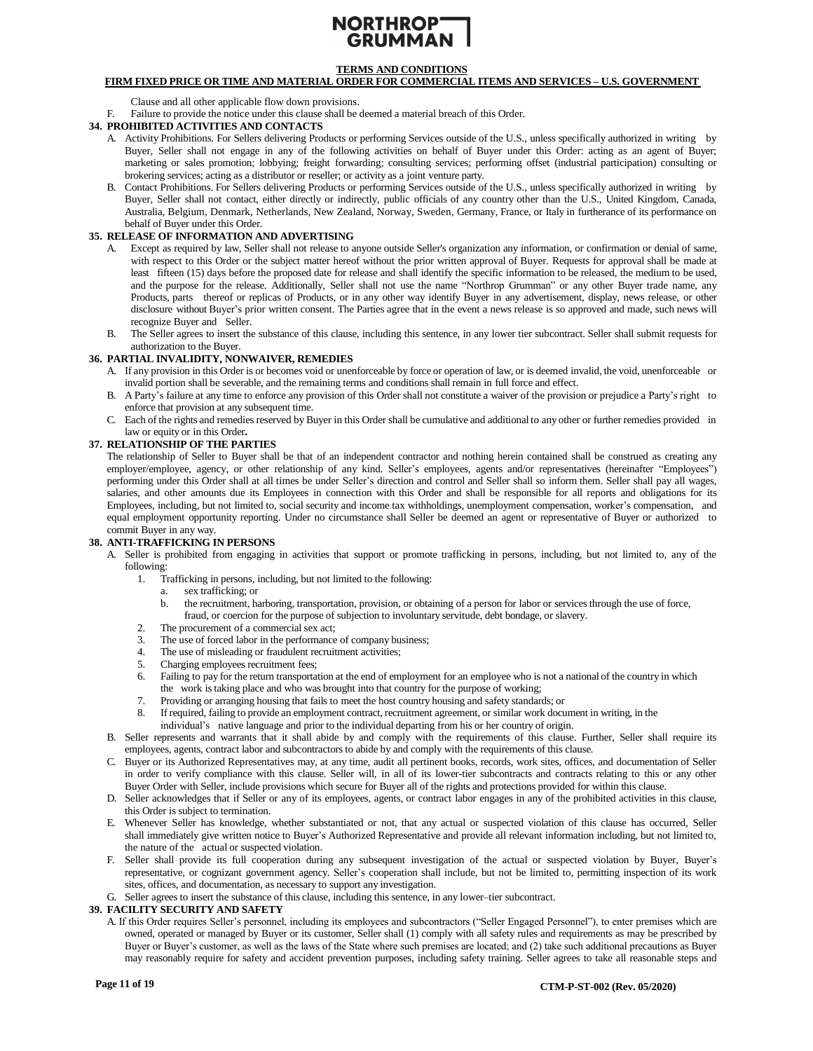

# **FIRM FIXED PRICE OR TIME AND MATERIAL ORDER FOR COMMERCIAL ITEMS AND SERVICES – U.S. GOVERNMENT**

Clause and all other applicable flow down provisions.

F. Failure to provide the notice under this clause shall be deemed a material breach of this Order.

#### <span id="page-10-2"></span>**34. PROHIBITED ACTIVITIES AND CONTACTS**

- A. Activity Prohibitions. For Sellers delivering Products or performing Services outside of the U.S., unless specifically authorized in writing by Buyer, Seller shall not engage in any of the following activities on behalf of Buyer under this Order: acting as an agent of Buyer; marketing or sales promotion; lobbying; freight forwarding; consulting services; performing offset (industrial participation) consulting or brokering services; acting as a distributor or reseller; or activity as a joint venture party.
- B. Contact Prohibitions. For Sellers delivering Products or performing Services outside of the U.S., unless specifically authorized in writing by Buyer, Seller shall not contact, either directly or indirectly, public officials of any country other than the U.S., United Kingdom, Canada, Australia, Belgium, Denmark, Netherlands, New Zealand, Norway, Sweden, Germany, France, or Italy in furtherance of its performance on behalf of Buyer under this Order.

# <span id="page-10-4"></span>**35. RELEASE OF INFORMATION AND ADVERTISING**

- A. Except as required by law, Seller shall not release to anyone outside Seller's organization any information, or confirmation or denial of same, with respect to this Order or the subject matter hereof without the prior written approval of Buyer. Requests for approval shall be made at least fifteen (15) days before the proposed date for release and shall identify the specific information to be released, the medium to be used, and the purpose for the release. Additionally, Seller shall not use the name "Northrop Grumman" or any other Buyer trade name, any Products, parts thereof or replicas of Products, or in any other way identify Buyer in any advertisement, display, news release, or other disclosure without Buyer's prior written consent. The Parties agree that in the event a news release is so approved and made, such news will recognize Buyer and Seller.
- B. The Seller agrees to insert the substance of this clause, including this sentence, in any lower tier subcontract. Seller shall submit requests for authorization to the Buyer.

### <span id="page-10-1"></span>**36. PARTIAL INVALIDITY, NONWAIVER, REMEDIES**

- A. If any provision in this Order is or becomes void or unenforceable by force or operation of law, or is deemed invalid, the void, unenforceable or invalid portion shall be severable, and the remaining terms and conditions shall remain in full force and effect.
- B. A Party's failure at any time to enforce any provision of this Order shall not constitute a waiver of the provision or prejudice a Party's right to enforce that provision at any subsequent time.
- C. Each of the rights and remedies reserved by Buyer in this Order shall be cumulative and additional to any other or further remedies provided in law or equity or in this Order**.**

#### <span id="page-10-3"></span>**37. RELATIONSHIP OF THE PARTIES**

The relationship of Seller to Buyer shall be that of an independent contractor and nothing herein contained shall be construed as creating any employer/employee, agency, or other relationship of any kind. Seller's employees, agents and/or representatives (hereinafter "Employees") performing under this Order shall at all times be under Seller's direction and control and Seller shall so inform them. Seller shall pay all wages, salaries, and other amounts due its Employees in connection with this Order and shall be responsible for all reports and obligations for its Employees, including, but not limited to, social security and income tax withholdings, unemployment compensation, worker's compensation, and equal employment opportunity reporting. Under no circumstance shall Seller be deemed an agent or representative of Buyer or authorized to commit Buyer in any way.

#### <span id="page-10-0"></span>**38. ANTI-TRAFFICKING IN PERSONS**

- A. Seller is prohibited from engaging in activities that support or promote trafficking in persons, including, but not limited to, any of the following:
	- 1. Trafficking in persons, including, but not limited to the following:
		- a. sex trafficking; or
		- b. the recruitment, harboring, transportation, provision, or obtaining of a person for labor or services through the use of force, fraud, or coercion for the purpose of subjection to involuntary servitude, debt bondage, or slavery.
	- 2. The procurement of a commercial sex act;
	- 3. The use of forced labor in the performance of company business;
	- 4. The use of misleading or fraudulent recruitment activities;
	- 5. Charging employees recruitment fees;
	- 6. Failing to pay for the return transportation at the end of employment for an employee who is not a national of the country in which the work istaking place and who was brought into that country for the purpose of working;
	- 7. Providing or arranging housing that fails to meet the host country housing and safety standards; or
	- 8. If required, failing to provide an employment contract, recruitment agreement, or similar work document in writing, in the
	- individual's native language and prior to the individual departing from his or her country of origin.
- B. Seller represents and warrants that it shall abide by and comply with the requirements of this clause. Further, Seller shall require its employees, agents, contract labor and subcontractors to abide by and comply with the requirements of this clause.
- C. Buyer or its Authorized Representatives may, at any time, audit all pertinent books, records, work sites, offices, and documentation of Seller in order to verify compliance with this clause. Seller will, in all of its lower-tier subcontracts and contracts relating to this or any other Buyer Order with Seller, include provisions which secure for Buyer all of the rights and protections provided for within this clause.
- D. Seller acknowledges that if Seller or any of its employees, agents, or contract labor engages in any of the prohibited activities in this clause, this Order is subject to termination.
- E. Whenever Seller has knowledge, whether substantiated or not, that any actual or suspected violation of this clause has occurred, Seller shall immediately give written notice to Buyer's Authorized Representative and provide all relevant information including, but not limited to, the nature of the actual or suspected violation.
- F. Seller shall provide its full cooperation during any subsequent investigation of the actual or suspected violation by Buyer, Buyer's representative, or cognizant government agency. Seller's cooperation shall include, but not be limited to, permitting inspection of its work sites, offices, and documentation, as necessary to support any investigation.
- G. Seller agrees to insert the substance of this clause, including this sentence, in any lower–tier subcontract.

#### <span id="page-10-5"></span>**39. FACILITY SECURITY AND SAFETY**

A. If this Order requires Seller's personnel, including its employees and subcontractors ("Seller Engaged Personnel"), to enter premises which are owned, operated or managed by Buyer or its customer, Seller shall (1) comply with all safety rules and requirements as may be prescribed by Buyer or Buyer's customer, as well as the laws of the State where such premises are located; and (2) take such additional precautions as Buyer may reasonably require for safety and accident prevention purposes, including safety training. Seller agrees to take all reasonable steps and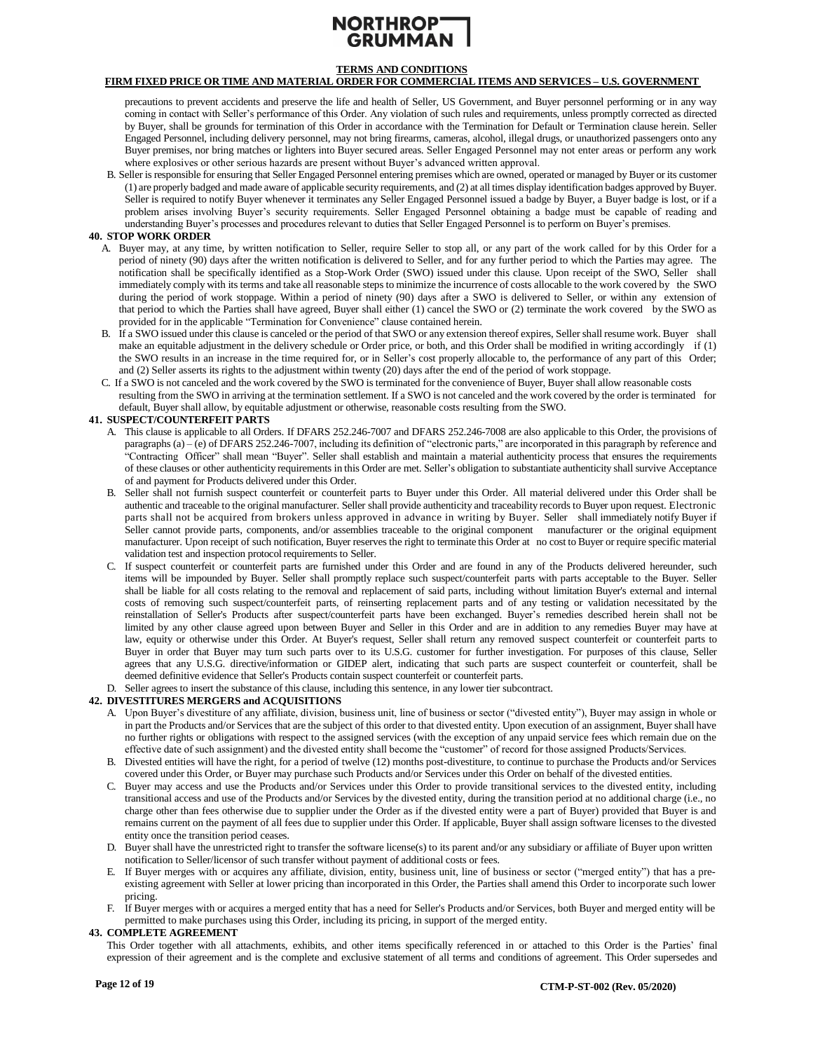# NORTHROP-**GRUMM**

# **TERMS AND CONDITIONS**

# **FIRM FIXED PRICE OR TIME AND MATERIAL ORDER FOR COMMERCIAL ITEMS AND SERVICES – U.S. GOVERNMENT**

precautions to prevent accidents and preserve the life and health of Seller, US Government, and Buyer personnel performing or in any way coming in contact with Seller's performance of this Order. Any violation of such rules and requirements, unless promptly corrected as directed by Buyer, shall be grounds for termination of this Order in accordance with the Termination for Default or Termination clause herein. Seller Engaged Personnel, including delivery personnel, may not bring firearms, cameras, alcohol, illegal drugs, or unauthorized passengers onto any Buyer premises, nor bring matches or lighters into Buyer secured areas. Seller Engaged Personnel may not enter areas or perform any work where explosives or other serious hazards are present without Buyer's advanced written approval.

B. Seller is responsible for ensuring that Seller Engaged Personnel entering premises which are owned, operated or managed by Buyer or its customer (1) are properly badged and made aware of applicable security requirements, and (2) at all times display identification badges approved by Buyer. Seller is required to notify Buyer whenever it terminates any Seller Engaged Personnel issued a badge by Buyer, a Buyer badge is lost, or if a problem arises involving Buyer's security requirements. Seller Engaged Personnel obtaining a badge must be capable of reading and understanding Buyer's processes and procedures relevant to duties that Seller Engaged Personnel is to perform on Buyer's premises.

### <span id="page-11-2"></span>**40. STOP WORK ORDER**

- A. Buyer may, at any time, by written notification to Seller, require Seller to stop all, or any part of the work called for by this Order for a period of ninety (90) days after the written notification is delivered to Seller, and for any further period to which the Parties may agree. The notification shall be specifically identified as a Stop-Work Order (SWO) issued under this clause. Upon receipt of the SWO, Seller shall immediately comply with its terms and take all reasonable steps to minimize the incurrence of costs allocable to the work covered by the SWO during the period of work stoppage. Within a period of ninety (90) days after a SWO is delivered to Seller, or within any extension of that period to which the Parties shall have agreed, Buyer shall either (1) cancel the SWO or (2) terminate the work covered by the SWO as provided for in the applicable "Termination for Convenience" clause contained herein.
- B. If a SWO issued under this clause is canceled or the period of that SWO or any extension thereof expires, Sellershall resume work. Buyer shall make an equitable adjustment in the delivery schedule or Order price, or both, and this Order shall be modified in writing accordingly if (1) the SWO results in an increase in the time required for, or in Seller's cost properly allocable to, the performance of any part of this Order; and (2) Seller asserts its rights to the adjustment within twenty (20) days after the end of the period of work stoppage.
- C. If a SWO is not canceled and the work covered by the SWO isterminated for the convenience of Buyer, Buyer shall allow reasonable costs resulting from the SWO in arriving at the termination settlement. If a SWO is not canceled and the work covered by the order is terminated for default, Buyer shall allow, by equitable adjustment or otherwise, reasonable costs resulting from the SWO.

### <span id="page-11-3"></span>**41. SUSPECT/COUNTERFEIT PARTS**

- A. This clause is applicable to all Orders. If DFARS 252.246-7007 and DFARS 252.246-7008 are also applicable to this Order, the provisions of paragraphs (a) – (e) of DFARS 252.246-7007, including its definition of "electronic parts," are incorporated in this paragraph by reference and "Contracting Officer" shall mean "Buyer". Seller shall establish and maintain a material authenticity process that ensures the requirements of these clauses or other authenticity requirements in this Order are met. Seller's obligation to substantiate authenticity shall survive Acceptance of and payment for Products delivered under this Order.
- B. Seller shall not furnish suspect counterfeit or counterfeit parts to Buyer under this Order. All material delivered under this Order shall be authentic and traceable to the original manufacturer. Seller shall provide authenticity and traceability records to Buyer upon request. Electronic parts shall not be acquired from brokers unless approved in advance in writing by Buyer. Seller shall immediately notify Buyer if Seller cannot provide parts, components, and/or assemblies traceable to the original component manufacturer or the original equipment manufacturer. Upon receipt of such notification, Buyer reserves the right to terminate this Order at no cost to Buyer or require specific material validation test and inspection protocol requirements to Seller.
- C. If suspect counterfeit or counterfeit parts are furnished under this Order and are found in any of the Products delivered hereunder, such items will be impounded by Buyer. Seller shall promptly replace such suspect/counterfeit parts with parts acceptable to the Buyer. Seller shall be liable for all costs relating to the removal and replacement of said parts, including without limitation Buyer's external and internal costs of removing such suspect/counterfeit parts, of reinserting replacement parts and of any testing or validation necessitated by the reinstallation of Seller's Products after suspect/counterfeit parts have been exchanged. Buyer's remedies described herein shall not be limited by any other clause agreed upon between Buyer and Seller in this Order and are in addition to any remedies Buyer may have at law, equity or otherwise under this Order. At Buyer's request, Seller shall return any removed suspect counterfeit or counterfeit parts to Buyer in order that Buyer may turn such parts over to its U.S.G. customer for further investigation. For purposes of this clause, Seller agrees that any U.S.G. directive/information or GIDEP alert, indicating that such parts are suspect counterfeit or counterfeit, shall be deemed definitive evidence that Seller's Products contain suspect counterfeit or counterfeit parts.
- D. Seller agrees to insert the substance of this clause, including this sentence, in any lower tier subcontract.

### <span id="page-11-1"></span>**42. DIVESTITURES MERGERS and ACQUISITIONS**

- A. Upon Buyer's divestiture of any affiliate, division, business unit, line of business or sector ("divested entity"), Buyer may assign in whole or in part the Products and/or Services that are the subject of this order to that divested entity. Upon execution of an assignment, Buyer shall have no further rights or obligations with respect to the assigned services (with the exception of any unpaid service fees which remain due on the effective date of such assignment) and the divested entity shall become the "customer" of record for those assigned Products/Services.
- B. Divested entities will have the right, for a period of twelve (12) months post-divestiture, to continue to purchase the Products and/or Services covered under this Order, or Buyer may purchase such Products and/or Services under this Order on behalf of the divested entities.
- C. Buyer may access and use the Products and/or Services under this Order to provide transitional services to the divested entity, including transitional access and use of the Products and/or Services by the divested entity, during the transition period at no additional charge (i.e., no charge other than fees otherwise due to supplier under the Order as if the divested entity were a part of Buyer) provided that Buyer is and remains current on the payment of all fees due to supplier under this Order. If applicable, Buyer shall assign software licenses to the divested entity once the transition period ceases.
- D. Buyer shall have the unrestricted right to transfer the software license(s) to its parent and/or any subsidiary or affiliate of Buyer upon written notification to Seller/licensor of such transfer without payment of additional costs or fees.
- E. If Buyer merges with or acquires any affiliate, division, entity, business unit, line of business or sector ("merged entity") that has a preexisting agreement with Seller at lower pricing than incorporated in this Order, the Parties shall amend this Order to incorporate such lower pricing.
- F. If Buyer merges with or acquires a merged entity that has a need for Seller's Products and/or Services, both Buyer and merged entity will be permitted to make purchases using this Order, including its pricing, in support of the merged entity.

#### <span id="page-11-0"></span>**43. COMPLETE AGREEMENT**

This Order together with all attachments, exhibits, and other items specifically referenced in or attached to this Order is the Parties' final expression of their agreement and is the complete and exclusive statement of all terms and conditions of agreement. This Order supersedes and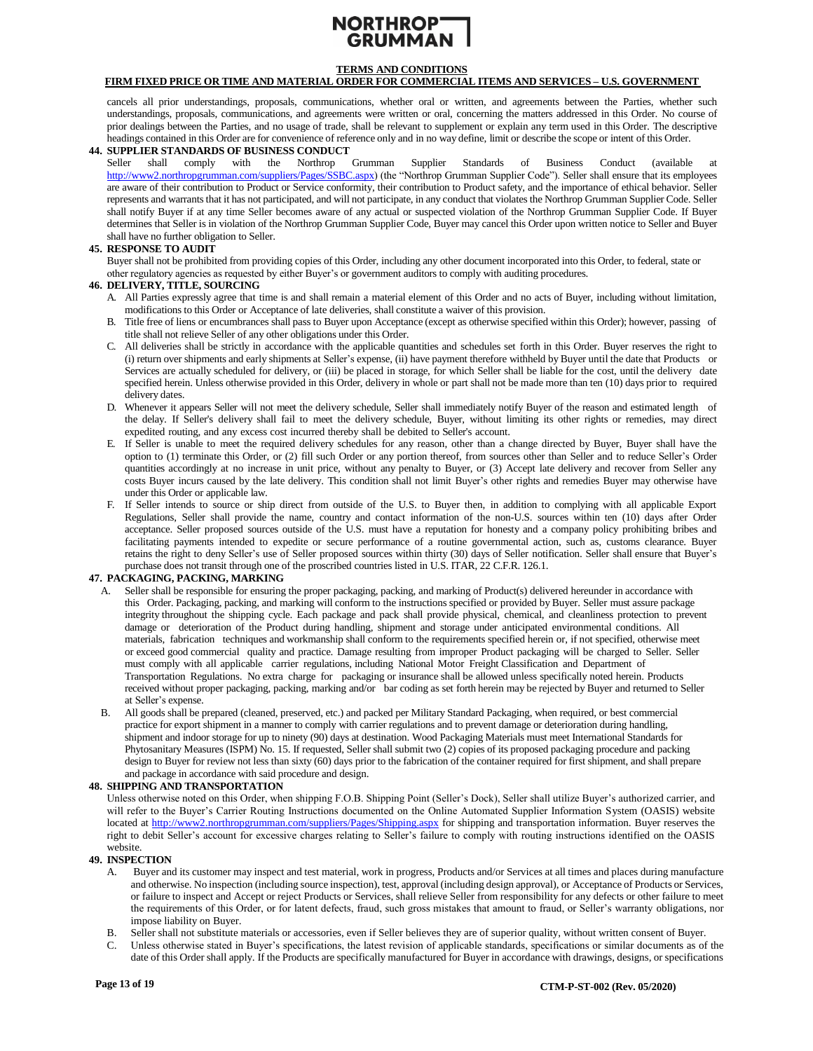

# **FIRM FIXED PRICE OR TIME AND MATERIAL ORDER FOR COMMERCIAL ITEMS AND SERVICES – U.S. GOVERNMENT**

cancels all prior understandings, proposals, communications, whether oral or written, and agreements between the Parties, whether such understandings, proposals, communications, and agreements were written or oral, concerning the matters addressed in this Order. No course of prior dealings between the Parties, and no usage of trade, shall be relevant to supplement or explain any term used in this Order. The descriptive headings contained in this Order are for convenience of reference only and in no way define, limit or describe the scope or intent of this Order.

#### <span id="page-12-5"></span>**44. SUPPLIER STANDARDS OF BUSINESS CONDUCT**

Seller shall comply with the Northrop Grumman Supplier Standards of Business Conduct (available at [http://www2.northropgrumman.com/suppliers/Pages/SSBC.aspx\)](http://www2.northropgrumman.com/suppliers/Pages/SSBC.aspx) (the "Northrop Grumman Supplier Code"). Seller shall ensure that its employees are aware of their contribution to Product or Service conformity, their contribution to Product safety, and the importance of ethical behavior. Seller represents and warrants that it has not participated, and will not participate, in any conduct that violates the Northrop Grumman Supplier Code. Seller shall notify Buyer if at any time Seller becomes aware of any actual or suspected violation of the Northrop Grumman Supplier Code. If Buyer determines that Seller is in violation of the Northrop Grumman Supplier Code, Buyer may cancel this Order upon written notice to Seller and Buyer shall have no further obligation to Seller.

#### <span id="page-12-2"></span>**45. RESPONSE TO AUDIT**

Buyer shall not be prohibited from providing copies of this Order, including any other document incorporated into this Order, to federal, state or other regulatory agencies as requested by either Buyer's or government auditors to comply with auditing procedures.

#### <span id="page-12-1"></span>**46. DELIVERY, TITLE, SOURCING**

- A. All Parties expressly agree that time is and shall remain a material element of this Order and no acts of Buyer, including without limitation, modificationsto this Order or Acceptance of late deliveries, shall constitute a waiver of this provision.
- B. Title free of liens or encumbrances shall pass to Buyer upon Acceptance (except as otherwise specified within this Order); however, passing of title shall not relieve Seller of any other obligations under this Order.
- C. All deliveries shall be strictly in accordance with the applicable quantities and schedules set forth in this Order. Buyer reserves the right to (i) return over shipments and early shipments at Seller's expense, (ii) have payment therefore withheld by Buyer until the date that Products or Services are actually scheduled for delivery, or (iii) be placed in storage, for which Seller shall be liable for the cost, until the delivery date specified herein. Unless otherwise provided in this Order, delivery in whole or part shall not be made more than ten (10) days prior to required delivery dates.
- D. Whenever it appears Seller will not meet the delivery schedule, Seller shall immediately notify Buyer of the reason and estimated length of the delay. If Seller's delivery shall fail to meet the delivery schedule, Buyer, without limiting its other rights or remedies, may direct expedited routing, and any excess cost incurred thereby shall be debited to Seller's account.
- E. If Seller is unable to meet the required delivery schedules for any reason, other than a change directed by Buyer, Buyer shall have the option to (1) terminate this Order, or (2) fill such Order or any portion thereof, from sources other than Seller and to reduce Seller's Order quantities accordingly at no increase in unit price, without any penalty to Buyer, or (3) Accept late delivery and recover from Seller any costs Buyer incurs caused by the late delivery. This condition shall not limit Buyer's other rights and remedies Buyer may otherwise have under this Order or applicable law.
- F. If Seller intends to source or ship direct from outside of the U.S. to Buyer then, in addition to complying with all applicable Export Regulations, Seller shall provide the name, country and contact information of the non-U.S. sources within ten (10) days after Order acceptance. Seller proposed sources outside of the U.S. must have a reputation for honesty and a company policy prohibiting bribes and facilitating payments intended to expedite or secure performance of a routine governmental action, such as, customs clearance. Buyer retains the right to deny Seller's use of Seller proposed sources within thirty (30) days of Seller notification. Seller shall ensure that Buyer's purchase does not transit through one of the proscribed countries listed in U.S. ITAR, 22 C.F.R. 126.1.

### <span id="page-12-0"></span>**47. PACKAGING, PACKING, MARKING**

- A. Seller shall be responsible for ensuring the proper packaging, packing, and marking of Product(s) delivered hereunder in accordance with this Order. Packaging, packing, and marking will conform to the instructions specified or provided by Buyer. Seller must assure package integrity throughout the shipping cycle. Each package and pack shall provide physical, chemical, and cleanliness protection to prevent damage or deterioration of the Product during handling, shipment and storage under anticipated environmental conditions. All materials, fabrication techniques and workmanship shall conform to the requirements specified herein or, if not specified, otherwise meet or exceed good commercial quality and practice. Damage resulting from improper Product packaging will be charged to Seller. Seller must comply with all applicable carrier regulations, including National Motor Freight Classification and Department of Transportation Regulations. No extra charge for packaging or insurance shall be allowed unless specifically noted herein. Products received without proper packaging, packing, marking and/or bar coding as set forth herein may be rejected by Buyer and returned to Seller at Seller's expense.
- B. All goods shall be prepared (cleaned, preserved, etc.) and packed per Military Standard Packaging, when required, or best commercial practice for export shipment in a manner to comply with carrier regulations and to prevent damage or deterioration during handling, shipment and indoor storage for up to ninety (90) days at destination. Wood Packaging Materials must meet International Standards for Phytosanitary Measures (ISPM) No. 15. If requested, Seller shall submit two (2) copies of its proposed packaging procedure and packing design to Buyer for review not less than sixty (60) days prior to the fabrication of the container required for first shipment, and shall prepare and package in accordance with said procedure and design.

#### <span id="page-12-3"></span>**48. SHIPPING AND TRANSPORTATION**

Unless otherwise noted on this Order, when shipping F.O.B. Shipping Point (Seller's Dock), Seller shall utilize Buyer's authorized carrier, and will refer to the Buyer's Carrier Routing Instructions documented on the Online Automated Supplier Information System (OASIS) website located at<http://www2.northropgrumman.com/suppliers/Pages/Shipping.aspx> for shipping and transportation information. Buyer reserves the right to debit Seller's account for excessive charges relating to Seller's failure to comply with routing instructions identified on the OASIS website.

### <span id="page-12-4"></span>**49. INSPECTION**

- A. Buyer and its customer may inspect and test material, work in progress, Products and/or Services at all times and places during manufacture and otherwise. No inspection (including source inspection), test, approval (including design approval), or Acceptance of Products or Services, or failure to inspect and Accept or reject Products or Services, shall relieve Seller from responsibility for any defects or other failure to meet the requirements of this Order, or for latent defects, fraud, such gross mistakes that amount to fraud, or Seller's warranty obligations, nor impose liability on Buyer.
- B. Seller shall not substitute materials or accessories, even if Seller believes they are of superior quality, without written consent of Buyer.
- Unless otherwise stated in Buyer's specifications, the latest revision of applicable standards, specifications or similar documents as of the date of this Order shall apply. If the Products are specifically manufactured for Buyer in accordance with drawings, designs, or specifications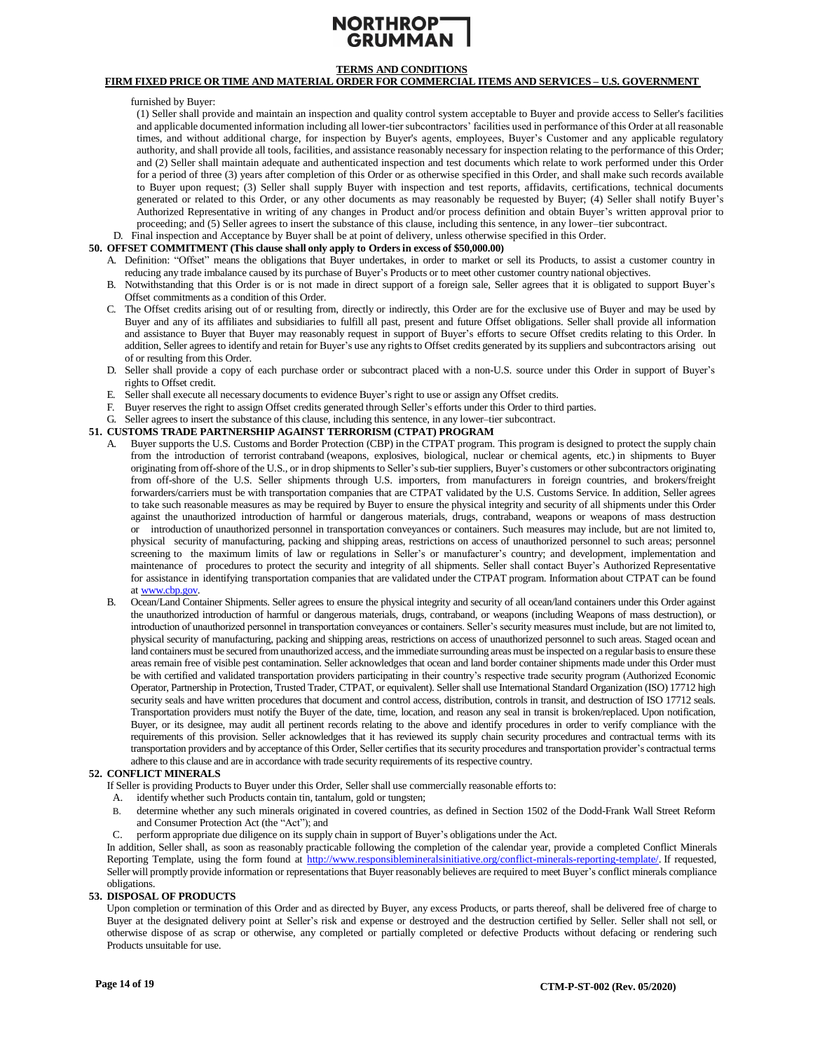

# **FIRM FIXED PRICE OR TIME AND MATERIAL ORDER FOR COMMERCIAL ITEMS AND SERVICES – U.S. GOVERNMENT**

furnished by Buyer:

(1) Seller shall provide and maintain an inspection and quality control system acceptable to Buyer and provide access to Seller's facilities and applicable documented information including all lower-tier subcontractors' facilities used in performance of this Order at all reasonable times, and without additional charge, for inspection by Buyer's agents, employees, Buyer's Customer and any applicable regulatory authority, and shall provide all tools, facilities, and assistance reasonably necessary for inspection relating to the performance of this Order; and (2) Seller shall maintain adequate and authenticated inspection and test documents which relate to work performed under this Order for a period of three (3) years after completion of this Order or as otherwise specified in this Order, and shall make such records available to Buyer upon request; (3) Seller shall supply Buyer with inspection and test reports, affidavits, certifications, technical documents generated or related to this Order, or any other documents as may reasonably be requested by Buyer; (4) Seller shall notify Buyer's Authorized Representative in writing of any changes in Product and/or process definition and obtain Buyer's written approval prior to proceeding; and (5) Seller agrees to insert the substance of this clause, including this sentence, in any lower–tier subcontract.

D. Final inspection and Acceptance by Buyer shall be at point of delivery, unless otherwise specified in this Order.

# <span id="page-13-0"></span>**50. OFFSET COMMITMENT (This clause shall only apply to Ordersin excess of \$50,000.00)**

- A. Definition: "Offset" means the obligations that Buyer undertakes, in order to market or sell its Products, to assist a customer country in reducing any trade imbalance caused by its purchase of Buyer's Products or to meet other customer country national objectives.
- B. Notwithstanding that this Order is or is not made in direct support of a foreign sale, Seller agrees that it is obligated to support Buyer's Offset commitments as a condition of this Order.
- C. The Offset credits arising out of or resulting from, directly or indirectly, this Order are for the exclusive use of Buyer and may be used by Buyer and any of its affiliates and subsidiaries to fulfill all past, present and future Offset obligations. Seller shall provide all information and assistance to Buyer that Buyer may reasonably request in support of Buyer's efforts to secure Offset credits relating to this Order. In addition, Seller agrees to identify and retain for Buyer's use any rights to Offset credits generated by its suppliers and subcontractors arising out of or resulting from this Order.
- D. Seller shall provide a copy of each purchase order or subcontract placed with a non-U.S. source under this Order in support of Buyer's rights to Offset credit.
- E. Seller shall execute all necessary documents to evidence Buyer's right to use or assign any Offset credits.
- F. Buyer reserves the right to assign Offset credits generated through Seller's efforts under this Order to third parties.
- G. Seller agrees to insert the substance of this clause, including this sentence, in any lower–tier subcontract.

#### <span id="page-13-2"></span>**51. CUSTOMS TRADE PARTNERSHIP AGAINST TERRORISM (CTPAT) PROGRAM**

- A. Buyer supports the U.S. Customs and Border Protection (CBP) in the CTPAT program. This program is designed to protect the supply chain from the introduction of terrorist contraband (weapons, explosives, biological, nuclear or chemical agents, etc.) in shipments to Buyer originating from off-shore of the U.S., or in drop shipments to Seller'ssub-tier suppliers, Buyer's customers or othersubcontractors originating from off-shore of the U.S. Seller shipments through U.S. importers, from manufacturers in foreign countries, and brokers/freight forwarders/carriers must be with transportation companies that are CTPAT validated by the U.S. Customs Service. In addition, Seller agrees to take such reasonable measures as may be required by Buyer to ensure the physical integrity and security of all shipments under this Order against the unauthorized introduction of harmful or dangerous materials, drugs, contraband, weapons or weapons of mass destruction or introduction of unauthorized personnel in transportation conveyances or containers. Such measures may include, but are not limited to, physical security of manufacturing, packing and shipping areas, restrictions on access of unauthorized personnel to such areas; personnel screening to the maximum limits of law or regulations in Seller's or manufacturer's country; and development, implementation and maintenance of procedures to protect the security and integrity of all shipments. Seller shall contact Buyer's Authorized Representative for assistance in identifying transportation companies that are validated under the CTPAT program. Information about CTPAT can be found at [www.cbp.gov.](file:///C:/Corporate/Global%20Supply%20Chain/Terms%20Conditions%20COE/Document%20Files/07-2019/03%20-%20Final%20and%20Unlocked/www.cbp.gov)
- B. Ocean/Land Container Shipments. Seller agrees to ensure the physical integrity and security of all ocean/land containers under this Order against the unauthorized introduction of harmful or dangerous materials, drugs, contraband, or weapons (including Weapons of mass destruction), or introduction of unauthorized personnel in transportation conveyances or containers. Seller's security measures must include, but are not limited to, physical security of manufacturing, packing and shipping areas, restrictions on access of unauthorized personnel to such areas. Staged ocean and land containers must be secured from unauthorized access, and the immediate surrounding areas must be inspected on a regular basis to ensure these areas remain free of visible pest contamination. Seller acknowledges that ocean and land border container shipments made under this Order must be with certified and validated transportation providers participating in their country's respective trade security program (Authorized Economic Operator, Partnership in Protection, Trusted Trader, CTPAT, or equivalent). Seller shall use International Standard Organization (ISO) 17712 high security seals and have written procedures that document and control access, distribution, controls in transit, and destruction of ISO 17712 seals. Transportation providers must notify the Buyer of the date, time, location, and reason any seal in transit is broken/replaced. Upon notification, Buyer, or its designee, may audit all pertinent records relating to the above and identify procedures in order to verify compliance with the requirements of this provision. Seller acknowledges that it has reviewed its supply chain security procedures and contractual terms with its transportation providers and by acceptance of this Order, Seller certifies that its security procedures and transportation provider's contractual terms adhere to this clause and are in accordance with trade security requirements of its respective country.

#### <span id="page-13-1"></span>**52. CONFLICT MINERALS**

If Seller is providing Products to Buyer under this Order, Seller shall use commercially reasonable efforts to:

- A. identify whether such Products contain tin, tantalum, gold or tungsten;
- B. determine whether any such minerals originated in covered countries, as defined in Section 1502 of the Dodd-Frank Wall Street Reform and Consumer Protection Act (the "Act"); and
- C. perform appropriate due diligence on its supply chain in support of Buyer's obligations under the Act.

In addition, Seller shall, as soon as reasonably practicable following the completion of the calendar year, provide a completed Conflict Minerals Reporting Template, using the form found at [http://www.responsiblemineralsinitiative.org/conflict-minerals-reporting-template/.](http://www.responsiblemineralsinitiative.org/conflict-minerals-reporting-template/) If requested, Seller will promptly provide information or representations that Buyer reasonably believes are required to meet Buyer's conflict minerals compliance obligations.

#### <span id="page-13-3"></span>**53. DISPOSAL OF PRODUCTS**

Upon completion or termination of this Order and as directed by Buyer, any excess Products, or parts thereof, shall be delivered free of charge to Buyer at the designated delivery point at Seller's risk and expense or destroyed and the destruction certified by Seller. Seller shall not sell, or otherwise dispose of as scrap or otherwise, any completed or partially completed or defective Products without defacing or rendering such Products unsuitable for use.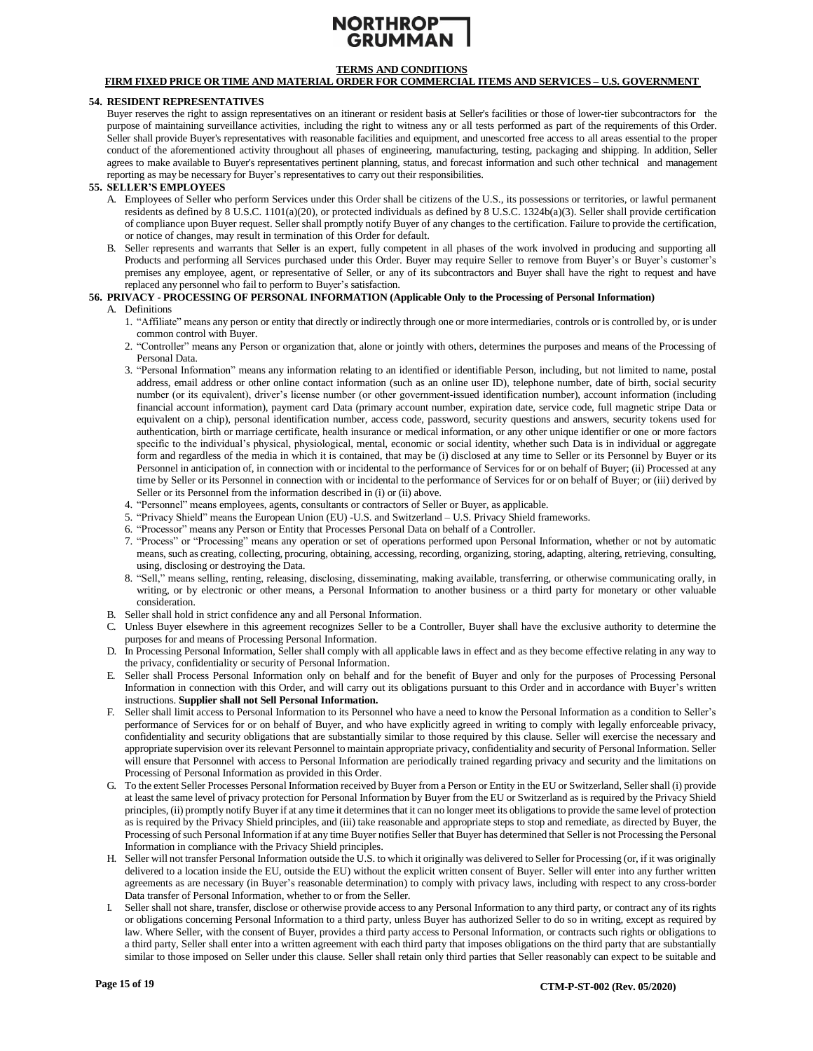# **TERMS AND CONDITIONS**

# **FIRM FIXED PRICE OR TIME AND MATERIAL ORDER FOR COMMERCIAL ITEMS AND SERVICES – U.S. GOVERNMENT**

#### <span id="page-14-1"></span>**54. RESIDENT REPRESENTATIVES**

Buyer reserves the right to assign representatives on an itinerant or resident basis at Seller's facilities or those of lower-tier subcontractors for the purpose of maintaining surveillance activities, including the right to witness any or all tests performed as part of the requirements of this Order. Seller shall provide Buyer's representatives with reasonable facilities and equipment, and unescorted free access to all areas essential to the proper conduct of the aforementioned activity throughout all phases of engineering, manufacturing, testing, packaging and shipping. In addition, Seller agrees to make available to Buyer's representatives pertinent planning, status, and forecast information and such other technical and management reporting as may be necessary for Buyer's representatives to carry out their responsibilities.

#### <span id="page-14-2"></span>**55. SELLER'S EMPLOYEES**

- A. Employees of Seller who perform Services under this Order shall be citizens of the U.S., its possessions or territories, or lawful permanent residents as defined by 8 U.S.C. 1101(a)(20), or protected individuals as defined by 8 U.S.C. 1324b(a)(3). Seller shall provide certification of compliance upon Buyer request. Seller shall promptly notify Buyer of any changes to the certification. Failure to provide the certification, or notice of changes, may result in termination of this Order for default.
- B. Seller represents and warrants that Seller is an expert, fully competent in all phases of the work involved in producing and supporting all Products and performing all Services purchased under this Order. Buyer may require Seller to remove from Buyer's or Buyer's customer's premises any employee, agent, or representative of Seller, or any of its subcontractors and Buyer shall have the right to request and have replaced any personnel who fail to perform to Buyer's satisfaction.

# <span id="page-14-0"></span>**56. PRIVACY - PROCESSING OF PERSONAL INFORMATION (Applicable Only to the Processing of Personal Information)**

#### A. Definitions

- 1. "Affiliate" means any person or entity that directly or indirectly through one or more intermediaries, controls or is controlled by, or is under common control with Buyer.
- 2. "Controller" means any Person or organization that, alone or jointly with others, determines the purposes and means of the Processing of Personal Data.
- 3. "Personal Information" means any information relating to an identified or identifiable Person, including, but not limited to name, postal address, email address or other online contact information (such as an online user ID), telephone number, date of birth, social security number (or its equivalent), driver's license number (or other government-issued identification number), account information (including financial account information), payment card Data (primary account number, expiration date, service code, full magnetic stripe Data or equivalent on a chip), personal identification number, access code, password, security questions and answers, security tokens used for authentication, birth or marriage certificate, health insurance or medical information, or any other unique identifier or one or more factors specific to the individual's physical, physiological, mental, economic or social identity, whether such Data is in individual or aggregate form and regardless of the media in which it is contained, that may be (i) disclosed at any time to Seller or its Personnel by Buyer or its Personnel in anticipation of, in connection with or incidental to the performance of Services for or on behalf of Buyer; (ii) Processed at any time by Seller or its Personnel in connection with or incidental to the performance of Services for or on behalf of Buyer; or (iii) derived by Seller or its Personnel from the information described in (i) or (ii) above.
- 4. "Personnel" means employees, agents, consultants or contractors of Seller or Buyer, as applicable.
- 5. "Privacy Shield" means the European Union (EU) -U.S. and Switzerland U.S. Privacy Shield frameworks.
- 6. "Processor" means any Person or Entity that Processes Personal Data on behalf of a Controller.
- 7. "Process" or "Processing" means any operation or set of operations performed upon Personal Information, whether or not by automatic means, such as creating, collecting, procuring, obtaining, accessing, recording, organizing, storing, adapting, altering, retrieving, consulting, using, disclosing or destroying the Data.
- 8. "Sell," means selling, renting, releasing, disclosing, disseminating, making available, transferring, or otherwise communicating orally, in writing, or by electronic or other means, a Personal Information to another business or a third party for monetary or other valuable consideration.
- B. Seller shall hold in strict confidence any and all Personal Information.
- C. Unless Buyer elsewhere in this agreement recognizes Seller to be a Controller, Buyer shall have the exclusive authority to determine the purposes for and means of Processing Personal Information.
- D. In Processing Personal Information, Seller shall comply with all applicable laws in effect and as they become effective relating in any way to the privacy, confidentiality or security of Personal Information.
- E. Seller shall Process Personal Information only on behalf and for the benefit of Buyer and only for the purposes of Processing Personal Information in connection with this Order, and will carry out its obligations pursuant to this Order and in accordance with Buyer's written instructions. **Supplier shall not Sell Personal Information.**
- F. Seller shall limit access to Personal Information to its Personnel who have a need to know the Personal Information as a condition to Seller's performance of Services for or on behalf of Buyer, and who have explicitly agreed in writing to comply with legally enforceable privacy, confidentiality and security obligations that are substantially similar to those required by this clause. Seller will exercise the necessary and appropriate supervision over its relevant Personnel to maintain appropriate privacy, confidentiality and security of Personal Information. Seller will ensure that Personnel with access to Personal Information are periodically trained regarding privacy and security and the limitations on Processing of Personal Information as provided in this Order.
- G. To the extent Seller Processes Personal Information received by Buyer from a Person or Entity in the EU or Switzerland, Seller shall (i) provide at least the same level of privacy protection for Personal Information by Buyer from the EU or Switzerland as is required by the Privacy Shield principles, (ii) promptly notify Buyer if at any time it determines that it can no longer meet its obligations to provide the same level of protection as is required by the Privacy Shield principles, and (iii) take reasonable and appropriate steps to stop and remediate, as directed by Buyer, the Processing of such Personal Information if at any time Buyer notifies Seller that Buyer has determined that Seller is not Processing the Personal Information in compliance with the Privacy Shield principles.
- H. Seller will not transfer Personal Information outside the U.S. to which it originally was delivered to Seller for Processing (or, if it was originally delivered to a location inside the EU, outside the EU) without the explicit written consent of Buyer. Seller will enter into any further written agreements as are necessary (in Buyer's reasonable determination) to comply with privacy laws, including with respect to any cross-border Data transfer of Personal Information, whether to or from the Seller.
- Seller shall not share, transfer, disclose or otherwise provide access to any Personal Information to any third party, or contract any of its rights or obligations concerning Personal Information to a third party, unless Buyer has authorized Seller to do so in writing, except as required by law. Where Seller, with the consent of Buyer, provides a third party access to Personal Information, or contracts such rights or obligations to a third party, Seller shall enter into a written agreement with each third party that imposes obligations on the third party that are substantially similar to those imposed on Seller under this clause. Seller shall retain only third parties that Seller reasonably can expect to be suitable and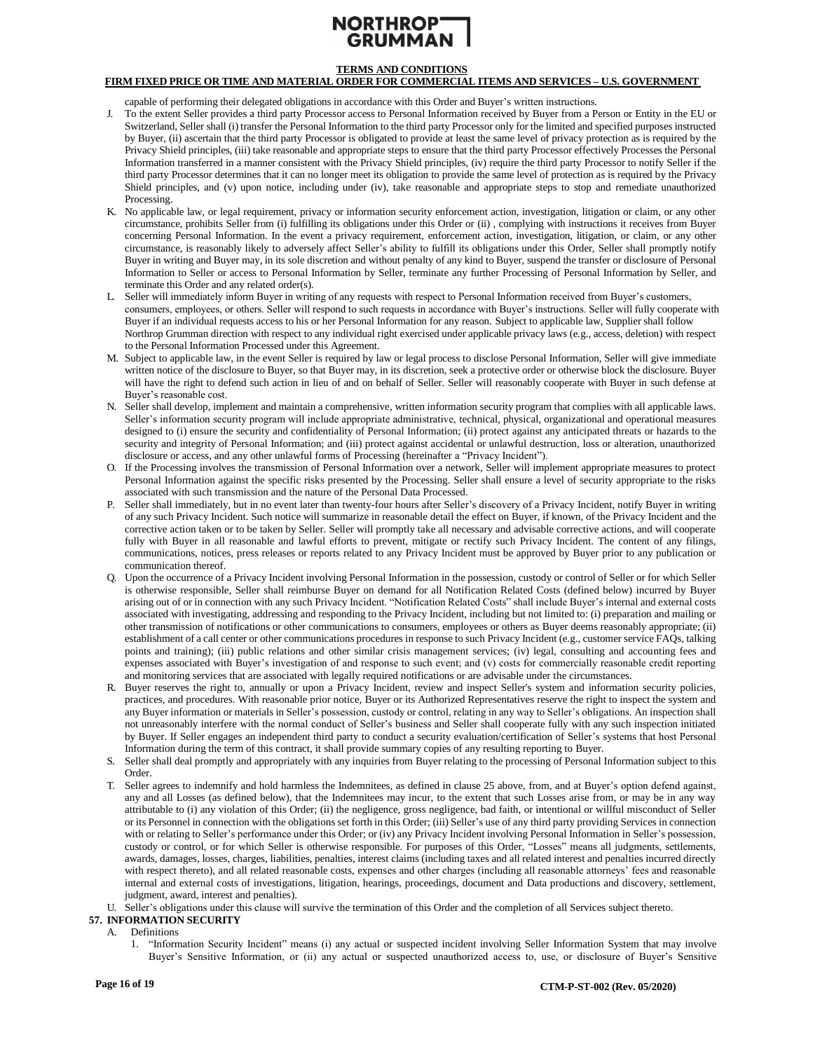# **TERMS AND CONDITIONS**

# **FIRM FIXED PRICE OR TIME AND MATERIAL ORDER FOR COMMERCIAL ITEMS AND SERVICES – U.S. GOVERNMENT**

capable of performing their delegated obligations in accordance with this Order and Buyer's written instructions.

- J. To the extent Seller provides a third party Processor access to Personal Information received by Buyer from a Person or Entity in the EU or Switzerland, Seller shall (i) transfer the Personal Information to the third party Processor only for the limited and specified purposes instructed by Buyer, (ii) ascertain that the third party Processor is obligated to provide at least the same level of privacy protection as is required by the Privacy Shield principles, (iii) take reasonable and appropriate steps to ensure that the third party Processor effectively Processes the Personal Information transferred in a manner consistent with the Privacy Shield principles, (iv) require the third party Processor to notify Seller if the third party Processor determines that it can no longer meet its obligation to provide the same level of protection as is required by the Privacy Shield principles, and (v) upon notice, including under (iv), take reasonable and appropriate steps to stop and remediate unauthorized Processing.
- K. No applicable law, or legal requirement, privacy or information security enforcement action, investigation, litigation or claim, or any other circumstance, prohibits Seller from (i) fulfilling its obligations under this Order or (ii) , complying with instructions it receives from Buyer concerning Personal Information. In the event a privacy requirement, enforcement action, investigation, litigation, or claim, or any other circumstance, is reasonably likely to adversely affect Seller's ability to fulfill its obligations under this Order, Seller shall promptly notify Buyer in writing and Buyer may, in its sole discretion and without penalty of any kind to Buyer, suspend the transfer or disclosure of Personal Information to Seller or access to Personal Information by Seller, terminate any further Processing of Personal Information by Seller, and terminate this Order and any related order(s).
- L. Seller will immediately inform Buyer in writing of any requests with respect to Personal Information received from Buyer's customers, consumers, employees, or others. Seller will respond to such requests in accordance with Buyer's instructions. Seller will fully cooperate with Buyer if an individual requests access to his or her Personal Information for any reason. Subject to applicable law, Supplier shall follow Northrop Grumman direction with respect to any individual right exercised under applicable privacy laws (e.g., access, deletion) with respect to the Personal Information Processed under this Agreement.
- M. Subject to applicable law, in the event Seller is required by law or legal process to disclose Personal Information, Seller will give immediate written notice of the disclosure to Buyer, so that Buyer may, in its discretion, seek a protective order or otherwise block the disclosure. Buyer will have the right to defend such action in lieu of and on behalf of Seller. Seller will reasonably cooperate with Buyer in such defense at Buyer's reasonable cost.
- N. Seller shall develop, implement and maintain a comprehensive, written information security program that complies with all applicable laws. Seller's information security program will include appropriate administrative, technical, physical, organizational and operational measures designed to (i) ensure the security and confidentiality of Personal Information; (ii) protect against any anticipated threats or hazards to the security and integrity of Personal Information; and (iii) protect against accidental or unlawful destruction, loss or alteration, unauthorized disclosure or access, and any other unlawful forms of Processing (hereinafter a "Privacy Incident").
- O. If the Processing involves the transmission of Personal Information over a network, Seller will implement appropriate measures to protect Personal Information against the specific risks presented by the Processing. Seller shall ensure a level of security appropriate to the risks associated with such transmission and the nature of the Personal Data Processed.
- P. Seller shall immediately, but in no event later than twenty-four hours after Seller's discovery of a Privacy Incident, notify Buyer in writing of any such Privacy Incident. Such notice will summarize in reasonable detail the effect on Buyer, if known, of the Privacy Incident and the corrective action taken or to be taken by Seller. Seller will promptly take all necessary and advisable corrective actions, and will cooperate fully with Buyer in all reasonable and lawful efforts to prevent, mitigate or rectify such Privacy Incident. The content of any filings, communications, notices, press releases or reports related to any Privacy Incident must be approved by Buyer prior to any publication or communication thereof.
- Q. Upon the occurrence of a Privacy Incident involving Personal Information in the possession, custody or control of Seller or for which Seller is otherwise responsible, Seller shall reimburse Buyer on demand for all Notification Related Costs (defined below) incurred by Buyer arising out of or in connection with any such Privacy Incident. "Notification Related Costs" shall include Buyer's internal and external costs associated with investigating, addressing and responding to the Privacy Incident, including but not limited to: (i) preparation and mailing or other transmission of notifications or other communications to consumers, employees or others as Buyer deems reasonably appropriate; (ii) establishment of a call center or other communications procedures in response to such Privacy Incident (e.g., customer service FAQs, talking points and training); (iii) public relations and other similar crisis management services; (iv) legal, consulting and accounting fees and expenses associated with Buyer's investigation of and response to such event; and (v) costs for commercially reasonable credit reporting and monitoring services that are associated with legally required notifications or are advisable under the circumstances.
- R. Buyer reserves the right to, annually or upon a Privacy Incident, review and inspect Seller's system and information security policies, practices, and procedures. With reasonable prior notice, Buyer or its Authorized Representatives reserve the right to inspect the system and any Buyer information or materials in Seller's possession, custody or control, relating in any way to Seller's obligations. An inspection shall not unreasonably interfere with the normal conduct of Seller's business and Seller shall cooperate fully with any such inspection initiated by Buyer. If Seller engages an independent third party to conduct a security evaluation/certification of Seller's systems that host Personal Information during the term of this contract, it shall provide summary copies of any resulting reporting to Buyer.
- S. Seller shall deal promptly and appropriately with any inquiries from Buyer relating to the processing of Personal Information subject to this Order.
- T. Seller agrees to indemnify and hold harmless the Indemnitees, as defined in clause 25 above, from, and at Buyer's option defend against, any and all Losses (as defined below), that the Indemnitees may incur, to the extent that such Losses arise from, or may be in any way attributable to (i) any violation of this Order; (ii) the negligence, gross negligence, bad faith, or intentional or willful misconduct of Seller or its Personnel in connection with the obligations set forth in this Order; (iii) Seller's use of any third party providing Services in connection with or relating to Seller's performance under this Order; or (iv) any Privacy Incident involving Personal Information in Seller's possession, custody or control, or for which Seller is otherwise responsible. For purposes of this Order, "Losses" means all judgments, settlements, awards, damages, losses, charges, liabilities, penalties, interest claims (including taxes and all related interest and penalties incurred directly with respect thereto), and all related reasonable costs, expenses and other charges (including all reasonable attorneys' fees and reasonable internal and external costs of investigations, litigation, hearings, proceedings, document and Data productions and discovery, settlement, judgment, award, interest and penalties).
- U. Seller's obligations under this clause will survive the termination of this Order and the completion of all Services subject thereto.
- <span id="page-15-0"></span>**57. INFORMATION SECURITY**
	- A. Definitions
		- 1. "Information Security Incident" means (i) any actual or suspected incident involving Seller Information System that may involve Buyer's Sensitive Information, or (ii) any actual or suspected unauthorized access to, use, or disclosure of Buyer's Sensitive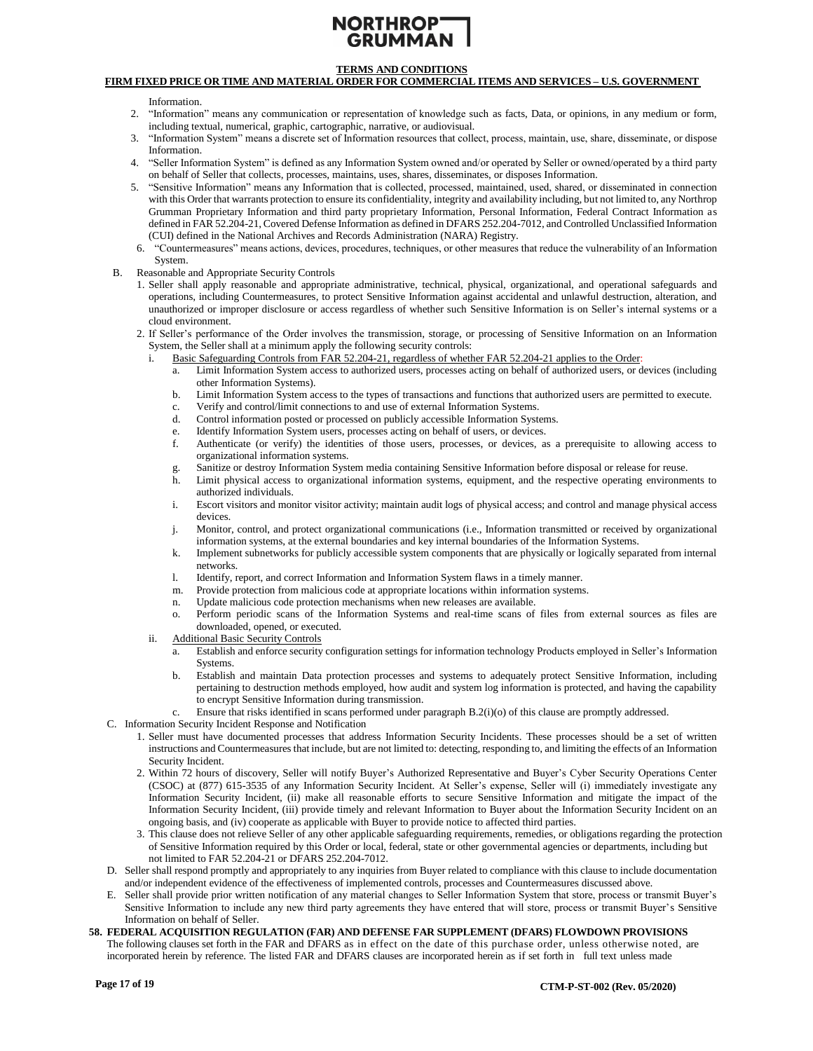# **TERMS AND CONDITIONS**

# **FIRM FIXED PRICE OR TIME AND MATERIAL ORDER FOR COMMERCIAL ITEMS AND SERVICES – U.S. GOVERNMENT**

Information.

- 2. "Information" means any communication or representation of knowledge such as facts, Data, or opinions, in any medium or form, including textual, numerical, graphic, cartographic, narrative, or audiovisual.
- 3. "Information System" means a discrete set of Information resources that collect, process, maintain, use, share, disseminate, or dispose Information.
- 4. "Seller Information System" is defined as any Information System owned and/or operated by Seller or owned/operated by a third party on behalf of Seller that collects, processes, maintains, uses, shares, disseminates, or disposes Information.
- 5. "Sensitive Information" means any Information that is collected, processed, maintained, used, shared, or disseminated in connection with this Order that warrants protection to ensure its confidentiality, integrity and availability including, but not limited to, any Northrop Grumman Proprietary Information and third party proprietary Information, Personal Information, Federal Contract Information as defined in FAR 52.204-21, Covered Defense Information as defined in DFARS 252.204-7012, and Controlled Unclassified Information (CUI) defined in the National Archives and Records Administration (NARA) Registry.
- 6. "Countermeasures" means actions, devices, procedures, techniques, or other measures that reduce the vulnerability of an Information System.
- B. Reasonable and Appropriate Security Controls
	- 1. Seller shall apply reasonable and appropriate administrative, technical, physical, organizational, and operational safeguards and operations, including Countermeasures, to protect Sensitive Information against accidental and unlawful destruction, alteration, and unauthorized or improper disclosure or access regardless of whether such Sensitive Information is on Seller's internal systems or a cloud environment.
	- 2. If Seller's performance of the Order involves the transmission, storage, or processing of Sensitive Information on an Information System, the Seller shall at a minimum apply the following security controls:
		- i. Basic Safeguarding Controls from FAR 52.204-21, regardless of whether FAR 52.204-21 applies to the Order:
			- Limit Information System access to authorized users, processes acting on behalf of authorized users, or devices (including other Information Systems).
			- b. Limit Information System access to the types of transactions and functions that authorized users are permitted to execute.
			- c. Verify and control/limit connections to and use of external Information Systems.
			- d. Control information posted or processed on publicly accessible Information Systems.
			- e. Identify Information System users, processes acting on behalf of users, or devices.
			- f. Authenticate (or verify) the identities of those users, processes, or devices, as a prerequisite to allowing access to organizational information systems.
			- Sanitize or destroy Information System media containing Sensitive Information before disposal or release for reuse.
			- h. Limit physical access to organizational information systems, equipment, and the respective operating environments to authorized individuals.
			- i. Escort visitors and monitor visitor activity; maintain audit logs of physical access; and control and manage physical access devices.
			- j. Monitor, control, and protect organizational communications (i.e., Information transmitted or received by organizational information systems, at the external boundaries and key internal boundaries of the Information Systems.
			- k. Implement subnetworks for publicly accessible system components that are physically or logically separated from internal networks.
			- l. Identify, report, and correct Information and Information System flaws in a timely manner.
			- m. Provide protection from malicious code at appropriate locations within information systems.
			- n. Update malicious code protection mechanisms when new releases are available.
			- o. Perform periodic scans of the Information Systems and real-time scans of files from external sources as files are downloaded, opened, or executed.
		- ii. Additional Basic Security Controls
			- a. Establish and enforce security configuration settings for information technology Products employed in Seller's Information Systems.
			- b. Establish and maintain Data protection processes and systems to adequately protect Sensitive Information, including pertaining to destruction methods employed, how audit and system log information is protected, and having the capability to encrypt Sensitive Information during transmission.
			- c. Ensure that risks identified in scans performed under paragraph B.2(i)(o) of this clause are promptly addressed.
- C. Information Security Incident Response and Notification
	- 1. Seller must have documented processes that address Information Security Incidents. These processes should be a set of written instructions and Countermeasures that include, but are not limited to: detecting, responding to, and limiting the effects of an Information Security Incident.
	- 2. Within 72 hours of discovery, Seller will notify Buyer's Authorized Representative and Buyer's Cyber Security Operations Center (CSOC) at (877) 615-3535 of any Information Security Incident. At Seller's expense, Seller will (i) immediately investigate any Information Security Incident, (ii) make all reasonable efforts to secure Sensitive Information and mitigate the impact of the Information Security Incident, (iii) provide timely and relevant Information to Buyer about the Information Security Incident on an ongoing basis, and (iv) cooperate as applicable with Buyer to provide notice to affected third parties.
	- 3. This clause does not relieve Seller of any other applicable safeguarding requirements, remedies, or obligations regarding the protection of Sensitive Information required by this Order or local, federal, state or other governmental agencies or departments, including but not limited to FAR 52.204-21 or DFARS 252.204-7012.
- D. Seller shall respond promptly and appropriately to any inquiries from Buyer related to compliance with this clause to include documentation and/or independent evidence of the effectiveness of implemented controls, processes and Countermeasures discussed above.
- E. Seller shall provide prior written notification of any material changes to Seller Information System that store, process or transmit Buyer's Sensitive Information to include any new third party agreements they have entered that will store, process or transmit Buyer's Sensitive Information on behalf of Seller.
- **58. FEDERAL ACQUISITION REGULATION (FAR) AND DEFENSE FAR SUPPLEMENT (DFARS) FLOWDOWN PROVISIONS** The following clauses set forth in the FAR and DFARS as in effect on the date of this purchase order, unless otherwise noted, are incorporated herein by reference. The listed FAR and DFARS clauses are incorporated herein as if set forth in full text unless made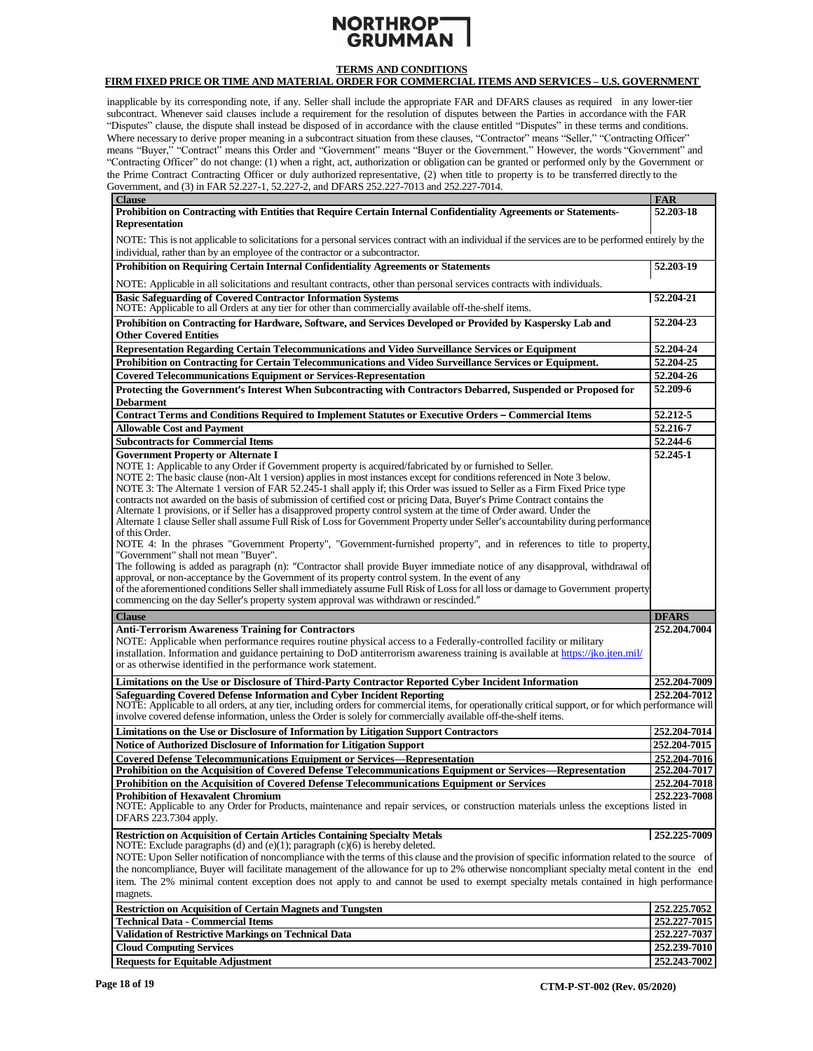# **NORTHROPT**<br>GRUMMAN

# **TERMS AND CONDITIONS**

## **FIRM FIXED PRICE OR TIME AND MATERIAL ORDER FOR COMMERCIAL ITEMS AND SERVICES – U.S. GOVERNMENT**

inapplicable by its corresponding note, if any. Seller shall include the appropriate FAR and DFARS clauses as required in any lower-tier subcontract. Whenever said clauses include a requirement for the resolution of disputes between the Parties in accordance with the FAR "Disputes" clause, the dispute shall instead be disposed of in accordance with the clause entitled "Disputes" in these terms and conditions. Where necessary to derive proper meaning in a subcontract situation from these clauses, "Contractor" means "Seller," "Contracting Officer" means "Buyer," "Contract" means this Order and "Government" means "Buyer or the Government." However, the words "Government" and "Contracting Officer" do not change: (1) when a right, act, authorization or obligation can be granted or performed only by the Government or the Prime Contract Contracting Officer or duly authorized representative, (2) when title to property is to be transferred directly to the Government, and (3) in FAR 52.227-1, 52.227-2, and DFARS 252.227-7013 and 252.227-7014.

| <b>Clause</b>                                                                                                                                                  | <b>FAR</b>                   |  |  |
|----------------------------------------------------------------------------------------------------------------------------------------------------------------|------------------------------|--|--|
| Prohibition on Contracting with Entities that Require Certain Internal Confidentiality Agreements or Statements-                                               | 52.203-18                    |  |  |
| <b>Representation</b>                                                                                                                                          |                              |  |  |
|                                                                                                                                                                |                              |  |  |
| NOTE: This is not applicable to solicitations for a personal services contract with an individual if the services are to be performed entirely by the          |                              |  |  |
| individual, rather than by an employee of the contractor or a subcontractor.                                                                                   |                              |  |  |
| Prohibition on Requiring Certain Internal Confidentiality Agreements or Statements                                                                             | 52.203-19                    |  |  |
| NOTE: Applicable in all solicitations and resultant contracts, other than personal services contracts with individuals.                                        |                              |  |  |
| <b>Basic Safeguarding of Covered Contractor Information Systems</b>                                                                                            | 52.204-21                    |  |  |
| NOTE: Applicable to all Orders at any tier for other than commercially available off-the-shelf items.                                                          |                              |  |  |
| Prohibition on Contracting for Hardware, Software, and Services Developed or Provided by Kaspersky Lab and                                                     | 52.204-23                    |  |  |
| <b>Other Covered Entities</b>                                                                                                                                  |                              |  |  |
| Representation Regarding Certain Telecommunications and Video Surveillance Services or Equipment                                                               | 52.204-24                    |  |  |
| Prohibition on Contracting for Certain Telecommunications and Video Surveillance Services or Equipment.                                                        | 52.204-25                    |  |  |
| <b>Covered Telecommunications Equipment or Services-Representation</b>                                                                                         | 52.204-26                    |  |  |
| Protecting the Government's Interest When Subcontracting with Contractors Debarred, Suspended or Proposed for                                                  | 52.209-6                     |  |  |
| <b>Debarment</b>                                                                                                                                               |                              |  |  |
| <b>Contract Terms and Conditions Required to Implement Statutes or Executive Orders - Commercial Items</b>                                                     | 52.212-5                     |  |  |
| <b>Allowable Cost and Payment</b>                                                                                                                              | 52.216-7                     |  |  |
| <b>Subcontracts for Commercial Items</b>                                                                                                                       | 52.244-6                     |  |  |
| <b>Government Property or Alternate I</b>                                                                                                                      | 52.245-1                     |  |  |
| NOTE 1: Applicable to any Order if Government property is acquired/fabricated by or furnished to Seller.                                                       |                              |  |  |
| NOTE 2: The basic clause (non-Alt 1 version) applies in most instances except for conditions referenced in Note 3 below.                                       |                              |  |  |
| NOTE 3: The Alternate 1 version of FAR 52.245-1 shall apply if; this Order was issued to Seller as a Firm Fixed Price type                                     |                              |  |  |
| contracts not awarded on the basis of submission of certified cost or pricing Data, Buyer's Prime Contract contains the                                        |                              |  |  |
| Alternate 1 provisions, or if Seller has a disapproved property control system at the time of Order award. Under the                                           |                              |  |  |
| Alternate 1 clause Seller shall assume Full Risk of Loss for Government Property under Seller's accountability during performance                              |                              |  |  |
| of this Order.                                                                                                                                                 |                              |  |  |
| NOTE 4: In the phrases "Government Property", "Government-furnished property", and in references to title to property,<br>"Government" shall not mean "Buyer". |                              |  |  |
| The following is added as paragraph (n): "Contractor shall provide Buyer immediate notice of any disapproval, withdrawal of                                    |                              |  |  |
| approval, or non-acceptance by the Government of its property control system. In the event of any                                                              |                              |  |  |
| of the aforementioned conditions Seller shall immediately assume Full Risk of Loss for all loss or damage to Government property                               |                              |  |  |
| commencing on the day Seller's property system approval was withdrawn or rescinded."                                                                           |                              |  |  |
|                                                                                                                                                                |                              |  |  |
|                                                                                                                                                                |                              |  |  |
| <b>Clause</b>                                                                                                                                                  | <b>DFARS</b>                 |  |  |
| <b>Anti-Terrorism Awareness Training for Contractors</b>                                                                                                       | 252.204.7004                 |  |  |
| NOTE: Applicable when performance requires routine physical access to a Federally-controlled facility or military                                              |                              |  |  |
| installation. Information and guidance pertaining to DoD antiterrorism awareness training is available at https://jko.jten.mil/                                |                              |  |  |
| or as otherwise identified in the performance work statement.                                                                                                  |                              |  |  |
| Limitations on the Use or Disclosure of Third-Party Contractor Reported Cyber Incident Information                                                             | 252.204-7009                 |  |  |
| Safeguarding Covered Defense Information and Cyber Incident Reporting                                                                                          | 252.204-7012                 |  |  |
| NOTE: Applicable to all orders, at any tier, including orders for commercial items, for operationally critical support, or for which performance will          |                              |  |  |
| involve covered defense information, unless the Order is solely for commercially available off-the-shelf items.                                                |                              |  |  |
| Limitations on the Use or Disclosure of Information by Litigation Support Contractors                                                                          | 252.204-7014                 |  |  |
| <b>Notice of Authorized Disclosure of Information for Litigation Support</b>                                                                                   | 252.204-7015                 |  |  |
| <b>Covered Defense Telecommunications Equipment or Services—Representation</b>                                                                                 | 252.204-7016                 |  |  |
| Prohibition on the Acquisition of Covered Defense Telecommunications Equipment or Services—Representation                                                      | 252,204-7017                 |  |  |
| Prohibition on the Acquisition of Covered Defense Telecommunications Equipment or Services                                                                     | 252.204-7018                 |  |  |
| <b>Prohibition of Hexavalent Chromium</b>                                                                                                                      | 252,223-7008                 |  |  |
| NOTE: Applicable to any Order for Products, maintenance and repair services, or construction materials unless the exceptions listed in                         |                              |  |  |
| DFARS 223.7304 apply.                                                                                                                                          |                              |  |  |
| <b>Restriction on Acquisition of Certain Articles Containing Specialty Metals</b>                                                                              | 252,225-7009                 |  |  |
| NOTE: Exclude paragraphs (d) and (e)(1); paragraph (c)(6) is hereby deleted.                                                                                   |                              |  |  |
| NOTE: Upon Seller notification of noncompliance with the terms of this clause and the provision of specific information related to the source of               |                              |  |  |
| the noncompliance, Buyer will facilitate management of the allowance for up to 2% otherwise noncompliant specialty metal content in the end                    |                              |  |  |
| item. The 2% minimal content exception does not apply to and cannot be used to exempt specialty metals contained in high performance                           |                              |  |  |
| magnets.                                                                                                                                                       |                              |  |  |
| <b>Restriction on Acquisition of Certain Magnets and Tungsten</b>                                                                                              | 252,225,7052                 |  |  |
| <b>Technical Data - Commercial Items</b>                                                                                                                       | 252.227-7015                 |  |  |
| <b>Validation of Restrictive Markings on Technical Data</b>                                                                                                    | 252, 227-7037                |  |  |
| <b>Cloud Computing Services</b><br><b>Requests for Equitable Adjustment</b>                                                                                    | 252.239-7010<br>252,243-7002 |  |  |